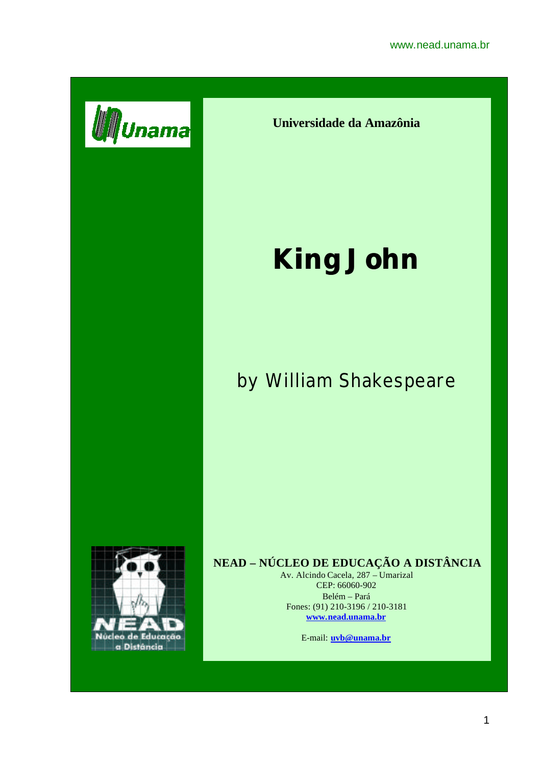

**Universidade da Amazônia**

## **King John**

## by William Shakespeare



## **NEAD – NÚCLEO DE EDUCAÇÃO A DISTÂNCIA**

Av. Alcindo Cacela, 287 – Umarizal CEP: 66060-902 Belém – Pará Fones: (91) 210-3196 / 210-3181 **www.nead.unama.br**

E-mail: **uvb@unama.br**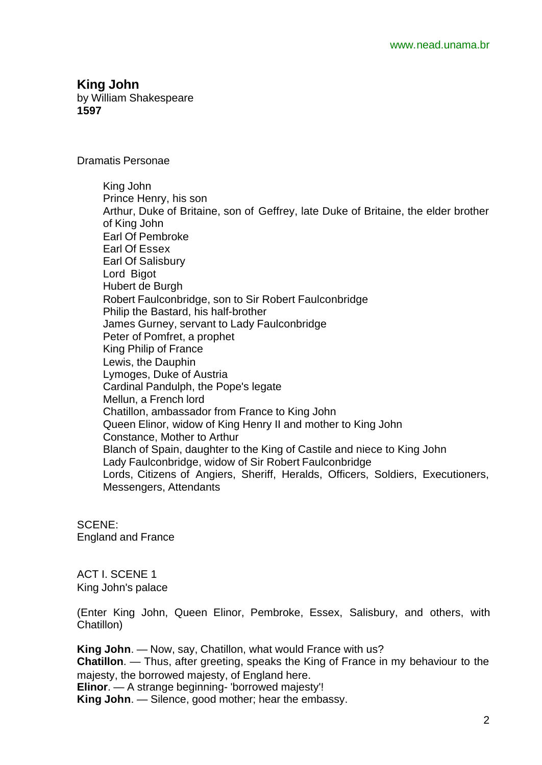**King John** by William Shakespeare

**1597**

Dramatis Personae

King John Prince Henry, his son Arthur, Duke of Britaine, son of Geffrey, late Duke of Britaine, the elder brother of King John Earl Of Pembroke Earl Of Essex Earl Of Salisbury Lord Bigot Hubert de Burgh Robert Faulconbridge, son to Sir Robert Faulconbridge Philip the Bastard, his half-brother James Gurney, servant to Lady Faulconbridge Peter of Pomfret, a prophet King Philip of France Lewis, the Dauphin Lymoges, Duke of Austria Cardinal Pandulph, the Pope's legate Mellun, a French lord Chatillon, ambassador from France to King John Queen Elinor, widow of King Henry II and mother to King John Constance, Mother to Arthur Blanch of Spain, daughter to the King of Castile and niece to King John Lady Faulconbridge, widow of Sir Robert Faulconbridge Lords, Citizens of Angiers, Sheriff, Heralds, Officers, Soldiers, Executioners, Messengers, Attendants

SCENE: England and France

ACT I. SCENE 1 King John's palace

(Enter King John, Queen Elinor, Pembroke, Essex, Salisbury, and others, with Chatillon)

**King John**. — Now, say, Chatillon, what would France with us? **Chatillon**. — Thus, after greeting, speaks the King of France in my behaviour to the majesty, the borrowed majesty, of England here. **Elinor**. — A strange beginning- 'borrowed majesty'! **King John**. — Silence, good mother; hear the embassy.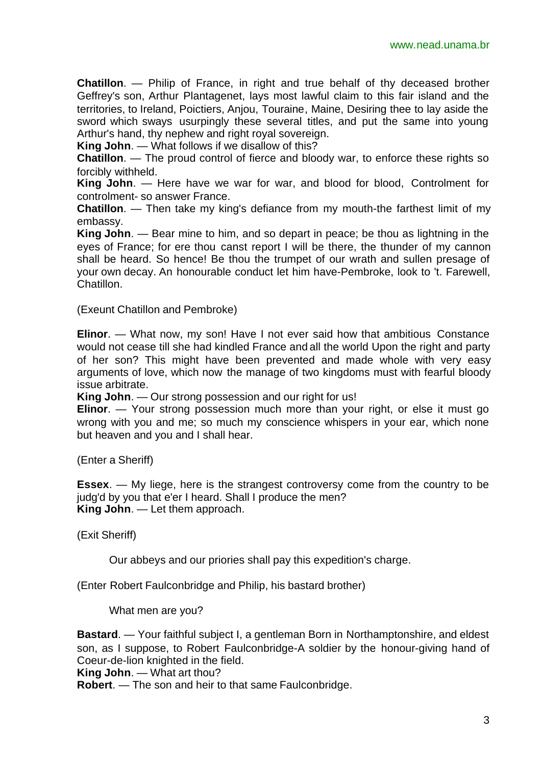**Chatillon**. — Philip of France, in right and true behalf of thy deceased brother Geffrey's son, Arthur Plantagenet, lays most lawful claim to this fair island and the territories, to Ireland, Poictiers, Anjou, Touraine, Maine, Desiring thee to lay aside the sword which sways usurpingly these several titles, and put the same into young Arthur's hand, thy nephew and right royal sovereign.

**King John**. — What follows if we disallow of this?

**Chatillon**. — The proud control of fierce and bloody war, to enforce these rights so forcibly withheld.

**King John**. — Here have we war for war, and blood for blood, Controlment for controlment- so answer France.

**Chatillon**. — Then take my king's defiance from my mouth-the farthest limit of my embassy.

**King John**. — Bear mine to him, and so depart in peace; be thou as lightning in the eyes of France; for ere thou canst report I will be there, the thunder of my cannon shall be heard. So hence! Be thou the trumpet of our wrath and sullen presage of your own decay. An honourable conduct let him have-Pembroke, look to 't. Farewell, Chatillon.

(Exeunt Chatillon and Pembroke)

**Elinor**. — What now, my son! Have I not ever said how that ambitious Constance would not cease till she had kindled France and all the world Upon the right and party of her son? This might have been prevented and made whole with very easy arguments of love, which now the manage of two kingdoms must with fearful bloody issue arbitrate.

**King John**. — Our strong possession and our right for us!

**Elinor**. — Your strong possession much more than your right, or else it must go wrong with you and me; so much my conscience whispers in your ear, which none but heaven and you and I shall hear.

(Enter a Sheriff)

**Essex**. — My liege, here is the strangest controversy come from the country to be judg'd by you that e'er I heard. Shall I produce the men? **King John**. — Let them approach.

(Exit Sheriff)

Our abbeys and our priories shall pay this expedition's charge.

(Enter Robert Faulconbridge and Philip, his bastard brother)

What men are you?

**Bastard**. — Your faithful subject I, a gentleman Born in Northamptonshire, and eldest son, as I suppose, to Robert Faulconbridge-A soldier by the honour-giving hand of Coeur-de-lion knighted in the field.

**King John**. — What art thou?

**Robert**. — The son and heir to that same Faulconbridge.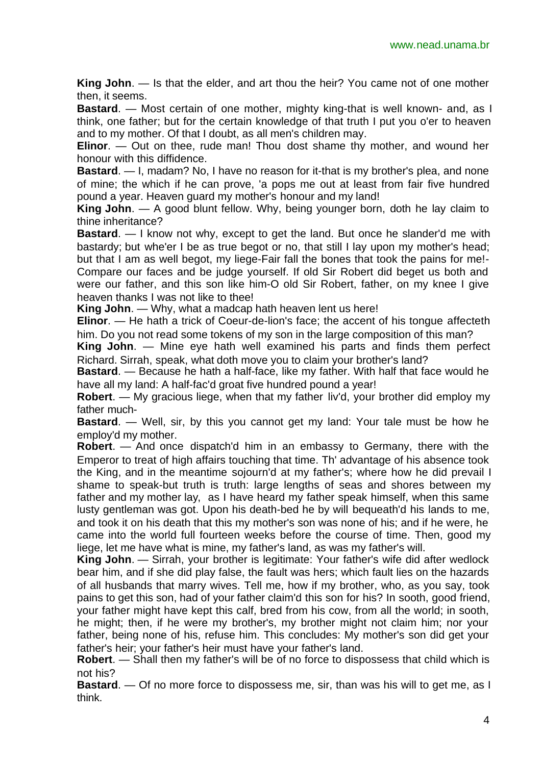**King John**. — Is that the elder, and art thou the heir? You came not of one mother then, it seems.

**Bastard.** — Most certain of one mother, mighty king-that is well known- and, as I think, one father; but for the certain knowledge of that truth I put you o'er to heaven and to my mother. Of that I doubt, as all men's children may.

**Elinor**. — Out on thee, rude man! Thou dost shame thy mother, and wound her honour with this diffidence.

**Bastard**. — I, madam? No, I have no reason for it-that is my brother's plea, and none of mine; the which if he can prove, 'a pops me out at least from fair five hundred pound a year. Heaven guard my mother's honour and my land!

**King John**. — A good blunt fellow. Why, being younger born, doth he lay claim to thine inheritance?

**Bastard**. — I know not why, except to get the land. But once he slander'd me with bastardy; but whe'er I be as true begot or no, that still I lay upon my mother's head; but that I am as well begot, my liege-Fair fall the bones that took the pains for me!- Compare our faces and be judge yourself. If old Sir Robert did beget us both and were our father, and this son like him-O old Sir Robert, father, on my knee I give heaven thanks I was not like to thee!

**King John**. — Why, what a madcap hath heaven lent us here!

**Elinor**. — He hath a trick of Coeur-de-lion's face; the accent of his tongue affecteth him. Do you not read some tokens of my son in the large composition of this man?

**King John**. — Mine eye hath well examined his parts and finds them perfect Richard. Sirrah, speak, what doth move you to claim your brother's land?

**Bastard**. — Because he hath a half-face, like my father. With half that face would he have all my land: A half-fac'd groat five hundred pound a year!

**Robert**. — My gracious liege, when that my father liv'd, your brother did employ my father much-

**Bastard.** — Well, sir, by this you cannot get my land: Your tale must be how he employ'd my mother.

**Robert**. — And once dispatch'd him in an embassy to Germany, there with the Emperor to treat of high affairs touching that time. Th' advantage of his absence took the King, and in the meantime sojourn'd at my father's; where how he did prevail I shame to speak-but truth is truth: large lengths of seas and shores between my father and my mother lay, as I have heard my father speak himself, when this same lusty gentleman was got. Upon his death-bed he by will bequeath'd his lands to me, and took it on his death that this my mother's son was none of his; and if he were, he came into the world full fourteen weeks before the course of time. Then, good my liege, let me have what is mine, my father's land, as was my father's will.

**King John**. — Sirrah, your brother is legitimate: Your father's wife did after wedlock bear him, and if she did play false, the fault was hers; which fault lies on the hazards of all husbands that marry wives. Tell me, how if my brother, who, as you say, took pains to get this son, had of your father claim'd this son for his? In sooth, good friend, your father might have kept this calf, bred from his cow, from all the world; in sooth, he might; then, if he were my brother's, my brother might not claim him; nor your father, being none of his, refuse him. This concludes: My mother's son did get your father's heir; your father's heir must have your father's land.

**Robert**. — Shall then my father's will be of no force to dispossess that child which is not his?

**Bastard**. — Of no more force to dispossess me, sir, than was his will to get me, as I think.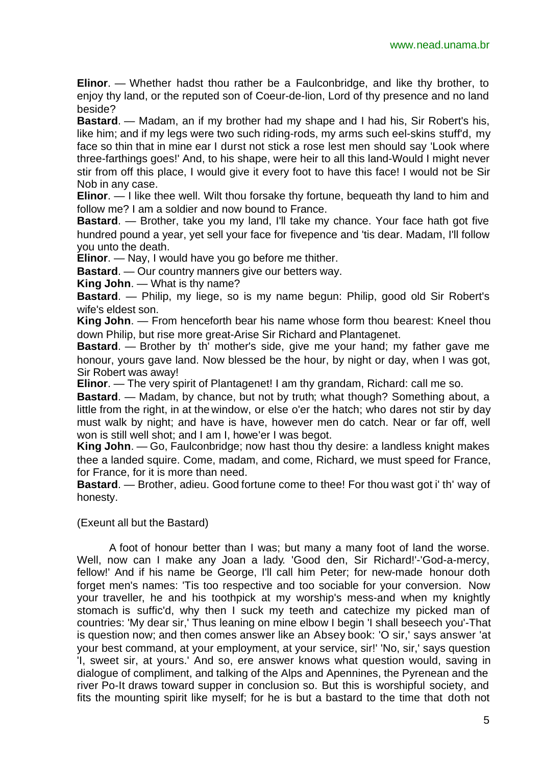**Elinor**. — Whether hadst thou rather be a Faulconbridge, and like thy brother, to enjoy thy land, or the reputed son of Coeur-de-lion, Lord of thy presence and no land beside?

**Bastard**. — Madam, an if my brother had my shape and I had his, Sir Robert's his, like him; and if my legs were two such riding-rods, my arms such eel-skins stuff'd, my face so thin that in mine ear I durst not stick a rose lest men should say 'Look where three-farthings goes!' And, to his shape, were heir to all this land-Would I might never stir from off this place, I would give it every foot to have this face! I would not be Sir Nob in any case.

**Elinor**. — I like thee well. Wilt thou forsake thy fortune, bequeath thy land to him and follow me? I am a soldier and now bound to France.

**Bastard**. — Brother, take you my land, I'll take my chance. Your face hath got five hundred pound a year, yet sell your face for fivepence and 'tis dear. Madam, I'll follow you unto the death.

**Elinor**. — Nay, I would have you go before me thither.

**Bastard**. — Our country manners give our betters way.

**King John**. — What is thy name?

**Bastard**. — Philip, my liege, so is my name begun: Philip, good old Sir Robert's wife's eldest son.

**King John**. — From henceforth bear his name whose form thou bearest: Kneel thou down Philip, but rise more great-Arise Sir Richard and Plantagenet.

**Bastard**. — Brother by th' mother's side, give me your hand; my father gave me honour, yours gave land. Now blessed be the hour, by night or day, when I was got, Sir Robert was away!

**Elinor**. — The very spirit of Plantagenet! I am thy grandam, Richard: call me so.

**Bastard**. — Madam, by chance, but not by truth; what though? Something about, a little from the right, in at the window, or else o'er the hatch; who dares not stir by day must walk by night; and have is have, however men do catch. Near or far off, well won is still well shot; and I am I, howe'er I was begot.

**King John**. — Go, Faulconbridge; now hast thou thy desire: a landless knight makes thee a landed squire. Come, madam, and come, Richard, we must speed for France, for France, for it is more than need.

**Bastard**. — Brother, adieu. Good fortune come to thee! For thou wast got i' th' way of honesty.

(Exeunt all but the Bastard)

A foot of honour better than I was; but many a many foot of land the worse. Well, now can I make any Joan a lady. 'Good den, Sir Richard!'-'God-a-mercy, fellow!' And if his name be George, I'll call him Peter; for new-made honour doth forget men's names: 'Tis too respective and too sociable for your conversion. Now your traveller, he and his toothpick at my worship's mess-and when my knightly stomach is suffic'd, why then I suck my teeth and catechize my picked man of countries: 'My dear sir,' Thus leaning on mine elbow I begin 'I shall beseech you'-That is question now; and then comes answer like an Absey book: 'O sir,' says answer 'at your best command, at your employment, at your service, sir!' 'No, sir,' says question 'I, sweet sir, at yours.' And so, ere answer knows what question would, saving in dialogue of compliment, and talking of the Alps and Apennines, the Pyrenean and the river Po-It draws toward supper in conclusion so. But this is worshipful society, and fits the mounting spirit like myself; for he is but a bastard to the time that doth not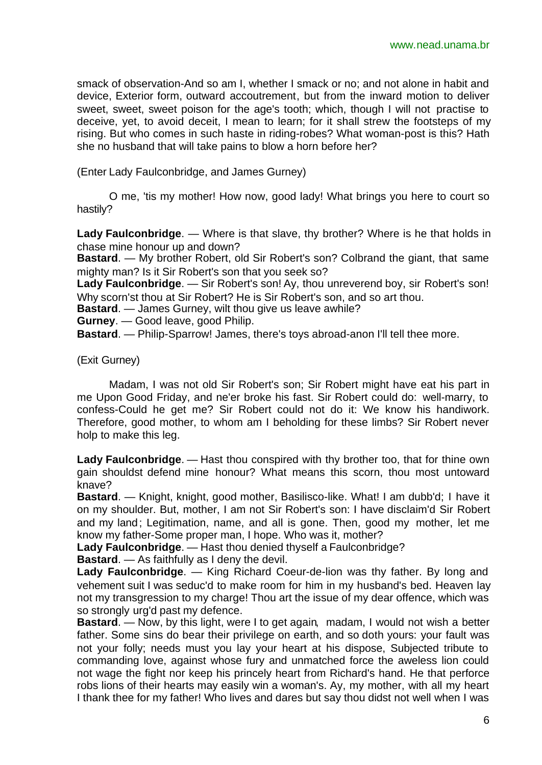smack of observation-And so am I, whether I smack or no; and not alone in habit and device, Exterior form, outward accoutrement, but from the inward motion to deliver sweet, sweet, sweet poison for the age's tooth; which, though I will not practise to deceive, yet, to avoid deceit, I mean to learn; for it shall strew the footsteps of my rising. But who comes in such haste in riding-robes? What woman-post is this? Hath she no husband that will take pains to blow a horn before her?

(Enter Lady Faulconbridge, and James Gurney)

O me, 'tis my mother! How now, good lady! What brings you here to court so hastily?

**Lady Faulconbridge**. — Where is that slave, thy brother? Where is he that holds in chase mine honour up and down?

**Bastard**. — My brother Robert, old Sir Robert's son? Colbrand the giant, that same mighty man? Is it Sir Robert's son that you seek so?

**Lady Faulconbridge**. — Sir Robert's son! Ay, thou unreverend boy, sir Robert's son! Why scorn'st thou at Sir Robert? He is Sir Robert's son, and so art thou.

**Bastard**. — James Gurney, wilt thou give us leave awhile?

**Gurney**. — Good leave, good Philip.

**Bastard**. — Philip-Sparrow! James, there's toys abroad-anon I'll tell thee more.

(Exit Gurney)

Madam, I was not old Sir Robert's son; Sir Robert might have eat his part in me Upon Good Friday, and ne'er broke his fast. Sir Robert could do: well-marry, to confess-Could he get me? Sir Robert could not do it: We know his handiwork. Therefore, good mother, to whom am I beholding for these limbs? Sir Robert never holp to make this leg.

**Lady Faulconbridge**. — Hast thou conspired with thy brother too, that for thine own gain shouldst defend mine honour? What means this scorn, thou most untoward knave?

**Bastard**. — Knight, knight, good mother, Basilisco-like. What! I am dubb'd; I have it on my shoulder. But, mother, I am not Sir Robert's son: I have disclaim'd Sir Robert and my land; Legitimation, name, and all is gone. Then, good my mother, let me know my father-Some proper man, I hope. Who was it, mother?

**Lady Faulconbridge**. — Hast thou denied thyself a Faulconbridge?

**Bastard**. — As faithfully as I deny the devil.

**Lady Faulconbridge**. — King Richard Coeur-de-lion was thy father. By long and vehement suit I was seduc'd to make room for him in my husband's bed. Heaven lay not my transgression to my charge! Thou art the issue of my dear offence, which was so strongly urg'd past my defence.

**Bastard**. — Now, by this light, were I to get again, madam, I would not wish a better father. Some sins do bear their privilege on earth, and so doth yours: your fault was not your folly; needs must you lay your heart at his dispose, Subjected tribute to commanding love, against whose fury and unmatched force the aweless lion could not wage the fight nor keep his princely heart from Richard's hand. He that perforce robs lions of their hearts may easily win a woman's. Ay, my mother, with all my heart I thank thee for my father! Who lives and dares but say thou didst not well when I was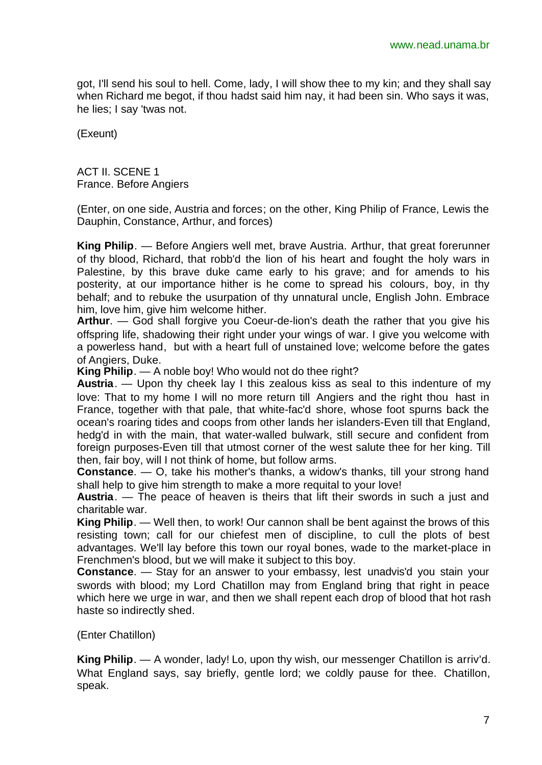got, I'll send his soul to hell. Come, lady, I will show thee to my kin; and they shall say when Richard me begot, if thou hadst said him nay, it had been sin. Who says it was, he lies; I say 'twas not.

(Exeunt)

ACT II. SCENE 1 France. Before Angiers

(Enter, on one side, Austria and forces; on the other, King Philip of France, Lewis the Dauphin, Constance, Arthur, and forces)

**King Philip**. — Before Angiers well met, brave Austria. Arthur, that great forerunner of thy blood, Richard, that robb'd the lion of his heart and fought the holy wars in Palestine, by this brave duke came early to his grave; and for amends to his posterity, at our importance hither is he come to spread his colours, boy, in thy behalf; and to rebuke the usurpation of thy unnatural uncle, English John. Embrace him, love him, give him welcome hither.

**Arthur**. — God shall forgive you Coeur-de-lion's death the rather that you give his offspring life, shadowing their right under your wings of war. I give you welcome with a powerless hand, but with a heart full of unstained love; welcome before the gates of Angiers, Duke.

**King Philip**. — A noble boy! Who would not do thee right?

**Austria**. — Upon thy cheek lay I this zealous kiss as seal to this indenture of my love: That to my home I will no more return till Angiers and the right thou hast in France, together with that pale, that white-fac'd shore, whose foot spurns back the ocean's roaring tides and coops from other lands her islanders-Even till that England, hedg'd in with the main, that water-walled bulwark, still secure and confident from foreign purposes-Even till that utmost corner of the west salute thee for her king. Till then, fair boy, will I not think of home, but follow arms.

**Constance**. — O, take his mother's thanks, a widow's thanks, till your strong hand shall help to give him strength to make a more requital to your love!

**Austria**. — The peace of heaven is theirs that lift their swords in such a just and charitable war.

**King Philip**. — Well then, to work! Our cannon shall be bent against the brows of this resisting town; call for our chiefest men of discipline, to cull the plots of best advantages. We'll lay before this town our royal bones, wade to the market-place in Frenchmen's blood, but we will make it subject to this boy.

**Constance**. — Stay for an answer to your embassy, lest unadvis'd you stain your swords with blood; my Lord Chatillon may from England bring that right in peace which here we urge in war, and then we shall repent each drop of blood that hot rash haste so indirectly shed.

(Enter Chatillon)

**King Philip**. — A wonder, lady! Lo, upon thy wish, our messenger Chatillon is arriv'd. What England says, say briefly, gentle lord; we coldly pause for thee. Chatillon, speak.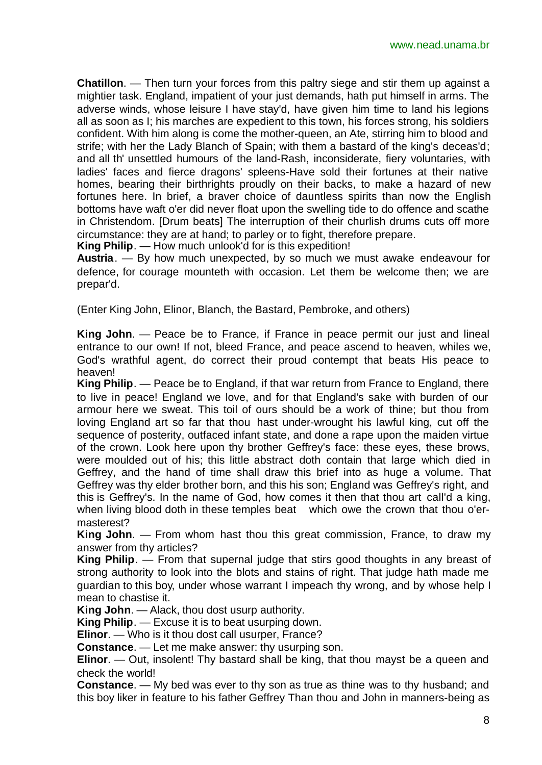**Chatillon**. — Then turn your forces from this paltry siege and stir them up against a mightier task. England, impatient of your just demands, hath put himself in arms. The adverse winds, whose leisure I have stay'd, have given him time to land his legions all as soon as I; his marches are expedient to this town, his forces strong, his soldiers confident. With him along is come the mother-queen, an Ate, stirring him to blood and strife; with her the Lady Blanch of Spain; with them a bastard of the king's deceas'd; and all th' unsettled humours of the land-Rash, inconsiderate, fiery voluntaries, with ladies' faces and fierce dragons' spleens-Have sold their fortunes at their native homes, bearing their birthrights proudly on their backs, to make a hazard of new fortunes here. In brief, a braver choice of dauntless spirits than now the English bottoms have waft o'er did never float upon the swelling tide to do offence and scathe in Christendom. [Drum beats] The interruption of their churlish drums cuts off more circumstance: they are at hand; to parley or to fight, therefore prepare.

**King Philip**. — How much unlook'd for is this expedition!

**Austria**. — By how much unexpected, by so much we must awake endeavour for defence, for courage mounteth with occasion. Let them be welcome then; we are prepar'd.

(Enter King John, Elinor, Blanch, the Bastard, Pembroke, and others)

**King John**. — Peace be to France, if France in peace permit our just and lineal entrance to our own! If not, bleed France, and peace ascend to heaven, whiles we, God's wrathful agent, do correct their proud contempt that beats His peace to heaven!

**King Philip**. — Peace be to England, if that war return from France to England, there to live in peace! England we love, and for that England's sake with burden of our armour here we sweat. This toil of ours should be a work of thine; but thou from loving England art so far that thou hast under-wrought his lawful king, cut off the sequence of posterity, outfaced infant state, and done a rape upon the maiden virtue of the crown. Look here upon thy brother Geffrey's face: these eyes, these brows, were moulded out of his; this little abstract doth contain that large which died in Geffrey, and the hand of time shall draw this brief into as huge a volume. That Geffrey was thy elder brother born, and this his son; England was Geffrey's right, and this is Geffrey's. In the name of God, how comes it then that thou art call'd a king, when living blood doth in these temples beat which owe the crown that thou o'ermasterest?

**King John**. — From whom hast thou this great commission, France, to draw my answer from thy articles?

**King Philip**. — From that supernal judge that stirs good thoughts in any breast of strong authority to look into the blots and stains of right. That judge hath made me guardian to this boy, under whose warrant I impeach thy wrong, and by whose help I mean to chastise it.

**King John**. — Alack, thou dost usurp authority.

**King Philip**. — Excuse it is to beat usurping down.

**Elinor**. — Who is it thou dost call usurper, France?

**Constance**. — Let me make answer: thy usurping son.

**Elinor.** — Out, insolent! Thy bastard shall be king, that thou mayst be a queen and check the world!

**Constance**. — My bed was ever to thy son as true as thine was to thy husband; and this boy liker in feature to his father Geffrey Than thou and John in manners-being as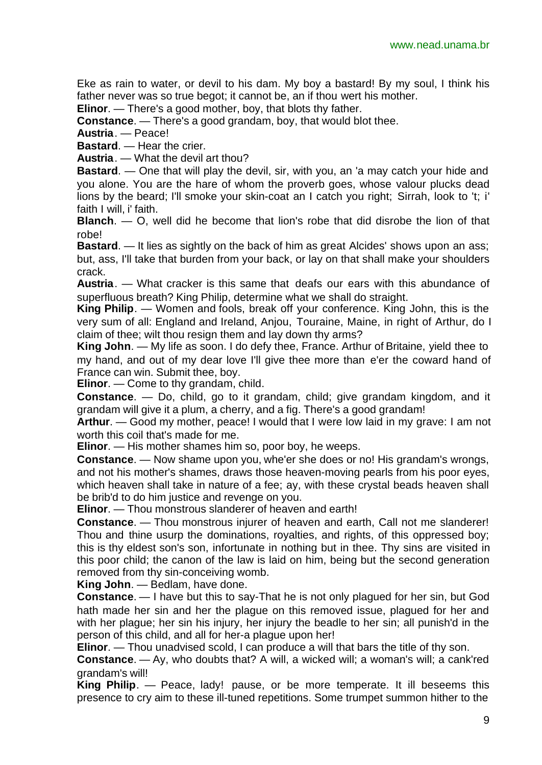Eke as rain to water, or devil to his dam. My boy a bastard! By my soul, I think his father never was so true begot; it cannot be, an if thou wert his mother.

**Elinor**. — There's a good mother, boy, that blots thy father.

**Constance**. — There's a good grandam, boy, that would blot thee.

**Austria**. — Peace!

**Bastard.** — Hear the crier.

**Austria**. — What the devil art thou?

**Bastard**. — One that will play the devil, sir, with you, an 'a may catch your hide and you alone. You are the hare of whom the proverb goes, whose valour plucks dead lions by the beard; I'll smoke your skin-coat an I catch you right; Sirrah, look to 't; i' faith I will, i' faith.

**Blanch**. — O, well did he become that lion's robe that did disrobe the lion of that robe!

**Bastard.** — It lies as sightly on the back of him as great Alcides' shows upon an ass; but, ass, I'll take that burden from your back, or lay on that shall make your shoulders crack.

**Austria**. — What cracker is this same that deafs our ears with this abundance of superfluous breath? King Philip, determine what we shall do straight.

**King Philip**. — Women and fools, break off your conference. King John, this is the very sum of all: England and Ireland, Anjou, Touraine, Maine, in right of Arthur, do I claim of thee; wilt thou resign them and lay down thy arms?

**King John**. — My life as soon. I do defy thee, France. Arthur of Britaine, yield thee to my hand, and out of my dear love I'll give thee more than e'er the coward hand of France can win. Submit thee, boy.

**Elinor**. — Come to thy grandam, child.

**Constance**. — Do, child, go to it grandam, child; give grandam kingdom, and it grandam will give it a plum, a cherry, and a fig. There's a good grandam!

**Arthur**. — Good my mother, peace! I would that I were low laid in my grave: I am not worth this coil that's made for me.

**Elinor**. — His mother shames him so, poor boy, he weeps.

**Constance**. — Now shame upon you, whe'er she does or no! His grandam's wrongs, and not his mother's shames, draws those heaven-moving pearls from his poor eyes, which heaven shall take in nature of a fee; ay, with these crystal beads heaven shall be brib'd to do him justice and revenge on you.

**Elinor**. — Thou monstrous slanderer of heaven and earth!

**Constance**. — Thou monstrous injurer of heaven and earth, Call not me slanderer! Thou and thine usurp the dominations, royalties, and rights, of this oppressed boy; this is thy eldest son's son, infortunate in nothing but in thee. Thy sins are visited in this poor child; the canon of the law is laid on him, being but the second generation removed from thy sin-conceiving womb.

**King John**. — Bedlam, have done.

**Constance**. — I have but this to say-That he is not only plagued for her sin, but God hath made her sin and her the plague on this removed issue, plagued for her and with her plague; her sin his injury, her injury the beadle to her sin; all punish'd in the person of this child, and all for her-a plague upon her!

**Elinor**. — Thou unadvised scold, I can produce a will that bars the title of thy son.

**Constance**. — Ay, who doubts that? A will, a wicked will; a woman's will; a cank'red grandam's will!

**King Philip**. — Peace, lady! pause, or be more temperate. It ill beseems this presence to cry aim to these ill-tuned repetitions. Some trumpet summon hither to the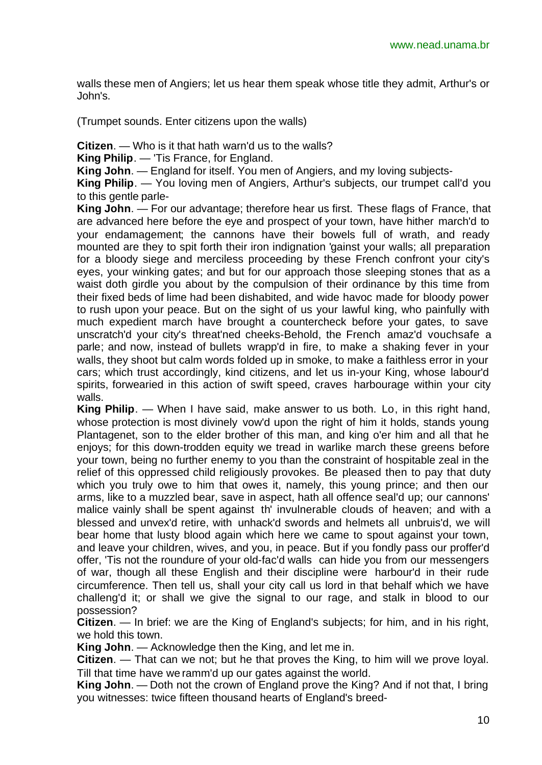walls these men of Angiers; let us hear them speak whose title they admit, Arthur's or John's.

(Trumpet sounds. Enter citizens upon the walls)

**Citizen**. — Who is it that hath warn'd us to the walls?

**King Philip**. — 'Tis France, for England.

**King John**. — England for itself. You men of Angiers, and my loving subjects-

**King Philip**. — You loving men of Angiers, Arthur's subjects, our trumpet call'd you to this gentle parle-

**King John**. — For our advantage; therefore hear us first. These flags of France, that are advanced here before the eye and prospect of your town, have hither march'd to your endamagement; the cannons have their bowels full of wrath, and ready mounted are they to spit forth their iron indignation 'gainst your walls; all preparation for a bloody siege and merciless proceeding by these French confront your city's eyes, your winking gates; and but for our approach those sleeping stones that as a waist doth girdle you about by the compulsion of their ordinance by this time from their fixed beds of lime had been dishabited, and wide havoc made for bloody power to rush upon your peace. But on the sight of us your lawful king, who painfully with much expedient march have brought a countercheck before your gates, to save unscratch'd your city's threat'ned cheeks-Behold, the French amaz'd vouchsafe a parle; and now, instead of bullets wrapp'd in fire, to make a shaking fever in your walls, they shoot but calm words folded up in smoke, to make a faithless error in your cars; which trust accordingly, kind citizens, and let us in-your King, whose labour'd spirits, forwearied in this action of swift speed, craves harbourage within your city walls.

**King Philip**. — When I have said, make answer to us both. Lo, in this right hand, whose protection is most divinely vow'd upon the right of him it holds, stands young Plantagenet, son to the elder brother of this man, and king o'er him and all that he enjoys; for this down-trodden equity we tread in warlike march these greens before your town, being no further enemy to you than the constraint of hospitable zeal in the relief of this oppressed child religiously provokes. Be pleased then to pay that duty which you truly owe to him that owes it, namely, this young prince; and then our arms, like to a muzzled bear, save in aspect, hath all offence seal'd up; our cannons' malice vainly shall be spent against th' invulnerable clouds of heaven; and with a blessed and unvex'd retire, with unhack'd swords and helmets all unbruis'd, we will bear home that lusty blood again which here we came to spout against your town, and leave your children, wives, and you, in peace. But if you fondly pass our proffer'd offer, 'Tis not the roundure of your old-fac'd walls can hide you from our messengers of war, though all these English and their discipline were harbour'd in their rude circumference. Then tell us, shall your city call us lord in that behalf which we have challeng'd it; or shall we give the signal to our rage, and stalk in blood to our possession?

**Citizen**. — In brief: we are the King of England's subjects; for him, and in his right, we hold this town.

**King John**. — Acknowledge then the King, and let me in.

**Citizen**. — That can we not; but he that proves the King, to him will we prove loyal. Till that time have we ramm'd up our gates against the world.

**King John**. — Doth not the crown of England prove the King? And if not that, I bring you witnesses: twice fifteen thousand hearts of England's breed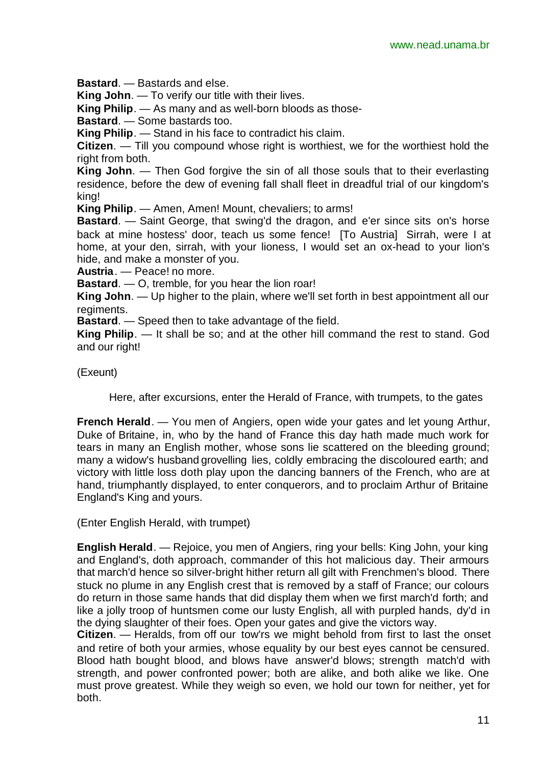**Bastard**. — Bastards and else.

**King John**. — To verify our title with their lives.

**King Philip**. — As many and as well-born bloods as those-

**Bastard**. — Some bastards too.

**King Philip**. — Stand in his face to contradict his claim.

**Citizen**. — Till you compound whose right is worthiest, we for the worthiest hold the right from both.

**King John**. — Then God forgive the sin of all those souls that to their everlasting residence, before the dew of evening fall shall fleet in dreadful trial of our kingdom's king!

**King Philip**. — Amen, Amen! Mount, chevaliers; to arms!

**Bastard**. — Saint George, that swing'd the dragon, and e'er since sits on's horse back at mine hostess' door, teach us some fence! [To Austria] Sirrah, were I at home, at your den, sirrah, with your lioness, I would set an ox-head to your lion's hide, and make a monster of you.

**Austria**. — Peace! no more.

**Bastard**. — O, tremble, for you hear the lion roar!

**King John**. — Up higher to the plain, where we'll set forth in best appointment all our regiments.

**Bastard**. — Speed then to take advantage of the field.

**King Philip**. — It shall be so; and at the other hill command the rest to stand. God and our right!

(Exeunt)

Here, after excursions, enter the Herald of France, with trumpets, to the gates

**French Herald.** — You men of Angiers, open wide your gates and let young Arthur, Duke of Britaine, in, who by the hand of France this day hath made much work for tears in many an English mother, whose sons lie scattered on the bleeding ground; many a widow's husband grovelling lies, coldly embracing the discoloured earth; and victory with little loss doth play upon the dancing banners of the French, who are at hand, triumphantly displayed, to enter conquerors, and to proclaim Arthur of Britaine England's King and yours.

(Enter English Herald, with trumpet)

**English Herald**. — Rejoice, you men of Angiers, ring your bells: King John, your king and England's, doth approach, commander of this hot malicious day. Their armours that march'd hence so silver-bright hither return all gilt with Frenchmen's blood. There stuck no plume in any English crest that is removed by a staff of France; our colours do return in those same hands that did display them when we first march'd forth; and like a jolly troop of huntsmen come our lusty English, all with purpled hands, dy'd in the dying slaughter of their foes. Open your gates and give the victors way.

**Citizen**. — Heralds, from off our tow'rs we might behold from first to last the onset and retire of both your armies, whose equality by our best eyes cannot be censured. Blood hath bought blood, and blows have answer'd blows; strength match'd with strength, and power confronted power; both are alike, and both alike we like. One must prove greatest. While they weigh so even, we hold our town for neither, yet for both.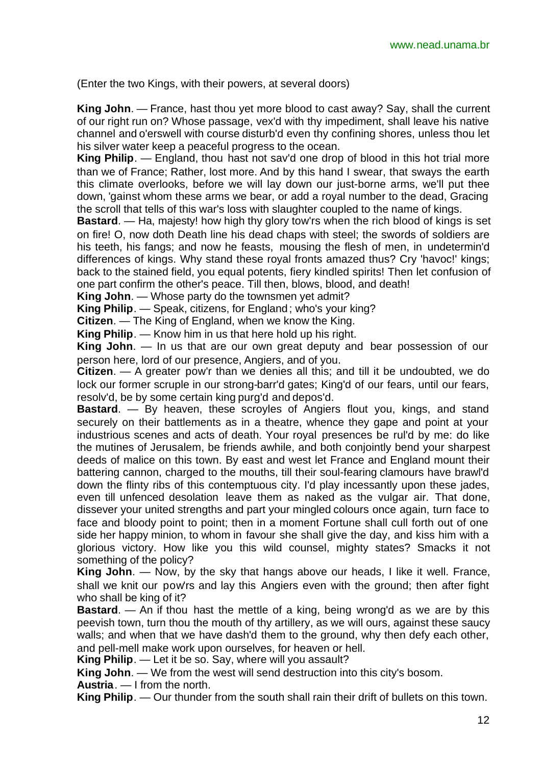(Enter the two Kings, with their powers, at several doors)

**King John**. — France, hast thou yet more blood to cast away? Say, shall the current of our right run on? Whose passage, vex'd with thy impediment, shall leave his native channel and o'erswell with course disturb'd even thy confining shores, unless thou let his silver water keep a peaceful progress to the ocean.

**King Philip**. — England, thou hast not sav'd one drop of blood in this hot trial more than we of France; Rather, lost more. And by this hand I swear, that sways the earth this climate overlooks, before we will lay down our just-borne arms, we'll put thee down, 'gainst whom these arms we bear, or add a royal number to the dead, Gracing the scroll that tells of this war's loss with slaughter coupled to the name of kings.

**Bastard**. — Ha, majesty! how high thy glory tow'rs when the rich blood of kings is set on fire! O, now doth Death line his dead chaps with steel; the swords of soldiers are his teeth, his fangs; and now he feasts, mousing the flesh of men, in undetermin'd differences of kings. Why stand these royal fronts amazed thus? Cry 'havoc!' kings; back to the stained field, you equal potents, fiery kindled spirits! Then let confusion of one part confirm the other's peace. Till then, blows, blood, and death!

**King John**. — Whose party do the townsmen yet admit?

**King Philip**. — Speak, citizens, for England; who's your king?

**Citizen**. — The King of England, when we know the King.

**King Philip**. — Know him in us that here hold up his right.

**King John**. — In us that are our own great deputy and bear possession of our person here, lord of our presence, Angiers, and of you.

**Citizen**. — A greater pow'r than we denies all this; and till it be undoubted, we do lock our former scruple in our strong-barr'd gates; King'd of our fears, until our fears, resolv'd, be by some certain king purg'd and depos'd.

**Bastard**. — By heaven, these scroyles of Angiers flout you, kings, and stand securely on their battlements as in a theatre, whence they gape and point at your industrious scenes and acts of death. Your royal presences be rul'd by me: do like the mutines of Jerusalem, be friends awhile, and both conjointly bend your sharpest deeds of malice on this town. By east and west let France and England mount their battering cannon, charged to the mouths, till their soul-fearing clamours have brawl'd down the flinty ribs of this contemptuous city. I'd play incessantly upon these jades, even till unfenced desolation leave them as naked as the vulgar air. That done, dissever your united strengths and part your mingled colours once again, turn face to face and bloody point to point; then in a moment Fortune shall cull forth out of one side her happy minion, to whom in favour she shall give the day, and kiss him with a glorious victory. How like you this wild counsel, mighty states? Smacks it not something of the policy?

**King John**. — Now, by the sky that hangs above our heads, I like it well. France, shall we knit our pow'rs and lay this Angiers even with the ground; then after fight who shall be king of it?

**Bastard**. — An if thou hast the mettle of a king, being wrong'd as we are by this peevish town, turn thou the mouth of thy artillery, as we will ours, against these saucy walls; and when that we have dash'd them to the ground, why then defy each other, and pell-mell make work upon ourselves, for heaven or hell.

**King Philip**. — Let it be so. Say, where will you assault?

**King John**. — We from the west will send destruction into this city's bosom.

**Austria**. — I from the north.

**King Philip**. — Our thunder from the south shall rain their drift of bullets on this town.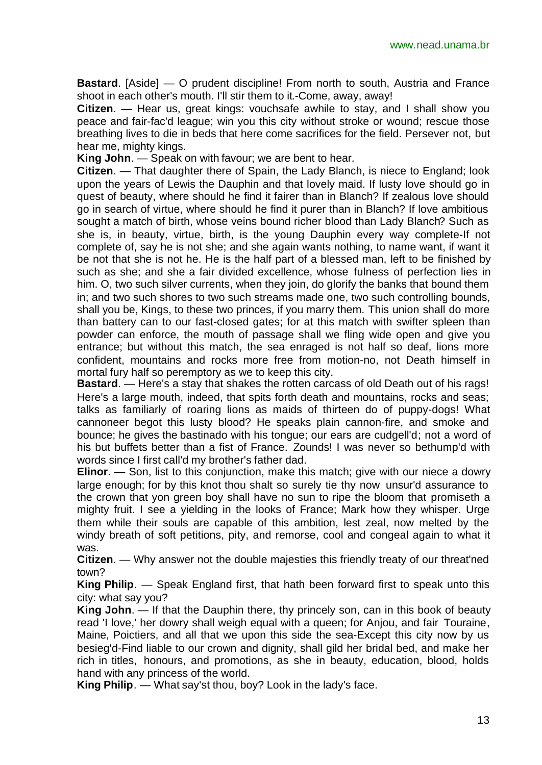**Bastard**. [Aside] — O prudent discipline! From north to south, Austria and France shoot in each other's mouth. I'll stir them to it.-Come, away, away!

**Citizen**. — Hear us, great kings: vouchsafe awhile to stay, and I shall show you peace and fair-fac'd league; win you this city without stroke or wound; rescue those breathing lives to die in beds that here come sacrifices for the field. Persever not, but hear me, mighty kings.

**King John**. — Speak on with favour; we are bent to hear.

**Citizen**. — That daughter there of Spain, the Lady Blanch, is niece to England; look upon the years of Lewis the Dauphin and that lovely maid. If lusty love should go in quest of beauty, where should he find it fairer than in Blanch? If zealous love should go in search of virtue, where should he find it purer than in Blanch? If love ambitious sought a match of birth, whose veins bound richer blood than Lady Blanch? Such as she is, in beauty, virtue, birth, is the young Dauphin every way complete-If not complete of, say he is not she; and she again wants nothing, to name want, if want it be not that she is not he. He is the half part of a blessed man, left to be finished by such as she; and she a fair divided excellence, whose fulness of perfection lies in him. O, two such silver currents, when they join, do glorify the banks that bound them in; and two such shores to two such streams made one, two such controlling bounds, shall you be, Kings, to these two princes, if you marry them. This union shall do more than battery can to our fast-closed gates; for at this match with swifter spleen than powder can enforce, the mouth of passage shall we fling wide open and give you entrance; but without this match, the sea enraged is not half so deaf, lions more confident, mountains and rocks more free from motion-no, not Death himself in mortal fury half so peremptory as we to keep this city.

**Bastard**. — Here's a stay that shakes the rotten carcass of old Death out of his rags! Here's a large mouth, indeed, that spits forth death and mountains, rocks and seas; talks as familiarly of roaring lions as maids of thirteen do of puppy-dogs! What cannoneer begot this lusty blood? He speaks plain cannon-fire, and smoke and bounce; he gives the bastinado with his tongue; our ears are cudgell'd; not a word of his but buffets better than a fist of France. Zounds! I was never so bethump'd with words since I first call'd my brother's father dad.

**Elinor.** — Son, list to this conjunction, make this match; give with our niece a dowry large enough; for by this knot thou shalt so surely tie thy now unsur'd assurance to the crown that yon green boy shall have no sun to ripe the bloom that promiseth a mighty fruit. I see a yielding in the looks of France; Mark how they whisper. Urge them while their souls are capable of this ambition, lest zeal, now melted by the windy breath of soft petitions, pity, and remorse, cool and congeal again to what it was.

**Citizen**. — Why answer not the double majesties this friendly treaty of our threat'ned town?

**King Philip**. — Speak England first, that hath been forward first to speak unto this city: what say you?

**King John**. — If that the Dauphin there, thy princely son, can in this book of beauty read 'I love,' her dowry shall weigh equal with a queen; for Anjou, and fair Touraine, Maine, Poictiers, and all that we upon this side the sea-Except this city now by us besieg'd-Find liable to our crown and dignity, shall gild her bridal bed, and make her rich in titles, honours, and promotions, as she in beauty, education, blood, holds hand with any princess of the world.

**King Philip**. — What say'st thou, boy? Look in the lady's face.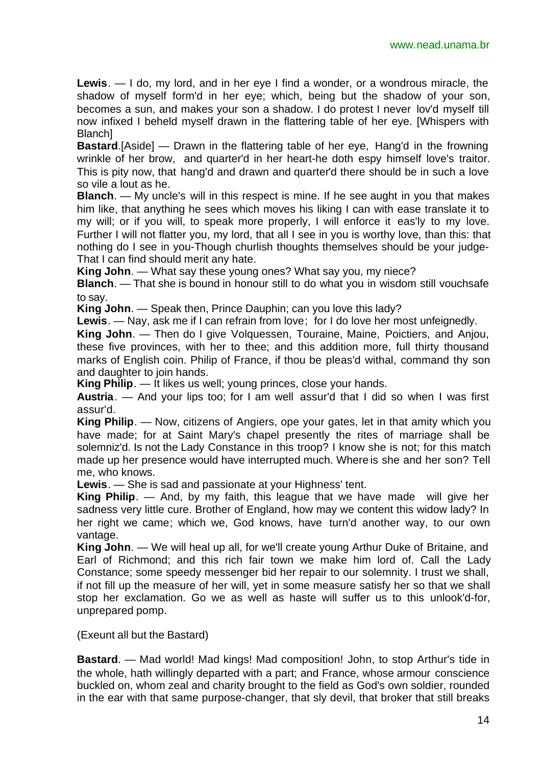**Lewis**. — I do, my lord, and in her eye I find a wonder, or a wondrous miracle, the shadow of myself form'd in her eye; which, being but the shadow of your son, becomes a sun, and makes your son a shadow. I do protest I never lov'd myself till now infixed I beheld myself drawn in the flattering table of her eye. [Whispers with Blanch]

**Bastard**.[Aside] — Drawn in the flattering table of her eye, Hang'd in the frowning wrinkle of her brow, and quarter'd in her heart-he doth espy himself love's traitor. This is pity now, that hang'd and drawn and quarter'd there should be in such a love so vile a lout as he.

**Blanch**. — My uncle's will in this respect is mine. If he see aught in you that makes him like, that anything he sees which moves his liking I can with ease translate it to my will; or if you will, to speak more properly, I will enforce it eas'ly to my love. Further I will not flatter you, my lord, that all I see in you is worthy love, than this: that nothing do I see in you-Though churlish thoughts themselves should be your judge-That I can find should merit any hate.

**King John**. — What say these young ones? What say you, my niece?

**Blanch**. — That she is bound in honour still to do what you in wisdom still vouchsafe to say.

**King John**. — Speak then, Prince Dauphin; can you love this lady?

**Lewis**. — Nay, ask me if I can refrain from love; for I do love her most unfeignedly.

**King John**. — Then do I give Volquessen, Touraine, Maine, Poictiers, and Anjou, these five provinces, with her to thee; and this addition more, full thirty thousand marks of English coin. Philip of France, if thou be pleas'd withal, command thy son and daughter to join hands.

**King Philip**. — It likes us well; young princes, close your hands.

**Austria**. — And your lips too; for I am well assur'd that I did so when I was first assur'd.

**King Philip**. — Now, citizens of Angiers, ope your gates, let in that amity which you have made; for at Saint Mary's chapel presently the rites of marriage shall be solemniz'd. Is not the Lady Constance in this troop? I know she is not; for this match made up her presence would have interrupted much. Where is she and her son? Tell me, who knows.

**Lewis**. — She is sad and passionate at your Highness' tent.

**King Philip**. — And, by my faith, this league that we have made will give her sadness very little cure. Brother of England, how may we content this widow lady? In her right we came; which we, God knows, have turn'd another way, to our own vantage.

**King John**. — We will heal up all, for we'll create young Arthur Duke of Britaine, and Earl of Richmond; and this rich fair town we make him lord of. Call the Lady Constance; some speedy messenger bid her repair to our solemnity. I trust we shall, if not fill up the measure of her will, yet in some measure satisfy her so that we shall stop her exclamation. Go we as well as haste will suffer us to this unlook'd-for, unprepared pomp.

(Exeunt all but the Bastard)

**Bastard**. — Mad world! Mad kings! Mad composition! John, to stop Arthur's tide in the whole, hath willingly departed with a part; and France, whose armour conscience buckled on, whom zeal and charity brought to the field as God's own soldier, rounded in the ear with that same purpose-changer, that sly devil, that broker that still breaks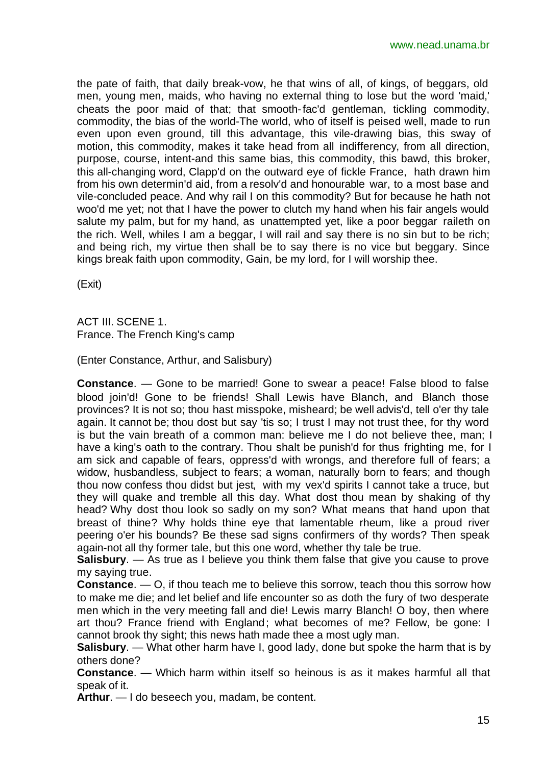the pate of faith, that daily break-vow, he that wins of all, of kings, of beggars, old men, young men, maids, who having no external thing to lose but the word 'maid,' cheats the poor maid of that; that smooth-fac'd gentleman, tickling commodity, commodity, the bias of the world-The world, who of itself is peised well, made to run even upon even ground, till this advantage, this vile-drawing bias, this sway of motion, this commodity, makes it take head from all indifferency, from all direction, purpose, course, intent-and this same bias, this commodity, this bawd, this broker, this all-changing word, Clapp'd on the outward eye of fickle France, hath drawn him from his own determin'd aid, from a resolv'd and honourable war, to a most base and vile-concluded peace. And why rail I on this commodity? But for because he hath not woo'd me yet; not that I have the power to clutch my hand when his fair angels would salute my palm, but for my hand, as unattempted yet, like a poor beggar raileth on the rich. Well, whiles I am a beggar, I will rail and say there is no sin but to be rich; and being rich, my virtue then shall be to say there is no vice but beggary. Since kings break faith upon commodity, Gain, be my lord, for I will worship thee.

(Exit)

ACT III. SCENE 1. France. The French King's camp

(Enter Constance, Arthur, and Salisbury)

**Constance**. — Gone to be married! Gone to swear a peace! False blood to false blood join'd! Gone to be friends! Shall Lewis have Blanch, and Blanch those provinces? It is not so; thou hast misspoke, misheard; be well advis'd, tell o'er thy tale again. It cannot be; thou dost but say 'tis so; I trust I may not trust thee, for thy word is but the vain breath of a common man: believe me I do not believe thee, man; I have a king's oath to the contrary. Thou shalt be punish'd for thus frighting me, for I am sick and capable of fears, oppress'd with wrongs, and therefore full of fears; a widow, husbandless, subject to fears; a woman, naturally born to fears; and though thou now confess thou didst but jest, with my vex'd spirits I cannot take a truce, but they will quake and tremble all this day. What dost thou mean by shaking of thy head? Why dost thou look so sadly on my son? What means that hand upon that breast of thine? Why holds thine eye that lamentable rheum, like a proud river peering o'er his bounds? Be these sad signs confirmers of thy words? Then speak again-not all thy former tale, but this one word, whether thy tale be true.

**Salisbury**. — As true as I believe you think them false that give you cause to prove my saying true.

**Constance**. — O, if thou teach me to believe this sorrow, teach thou this sorrow how to make me die; and let belief and life encounter so as doth the fury of two desperate men which in the very meeting fall and die! Lewis marry Blanch! O boy, then where art thou? France friend with England; what becomes of me? Fellow, be gone: I cannot brook thy sight; this news hath made thee a most ugly man.

**Salisbury**. — What other harm have I, good lady, done but spoke the harm that is by others done?

**Constance**. — Which harm within itself so heinous is as it makes harmful all that speak of it.

**Arthur**. — I do beseech you, madam, be content.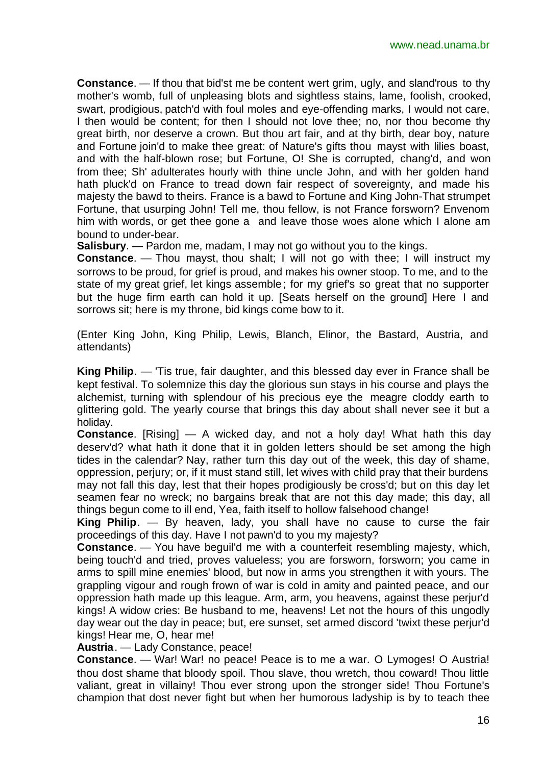**Constance**. — If thou that bid'st me be content wert grim, ugly, and sland'rous to thy mother's womb, full of unpleasing blots and sightless stains, lame, foolish, crooked, swart, prodigious, patch'd with foul moles and eye-offending marks, I would not care, I then would be content; for then I should not love thee; no, nor thou become thy great birth, nor deserve a crown. But thou art fair, and at thy birth, dear boy, nature and Fortune join'd to make thee great: of Nature's gifts thou mayst with lilies boast, and with the half-blown rose; but Fortune, O! She is corrupted, chang'd, and won from thee; Sh' adulterates hourly with thine uncle John, and with her golden hand hath pluck'd on France to tread down fair respect of sovereignty, and made his majesty the bawd to theirs. France is a bawd to Fortune and King John-That strumpet Fortune, that usurping John! Tell me, thou fellow, is not France forsworn? Envenom him with words, or get thee gone a and leave those woes alone which I alone am bound to under-bear.

**Salisbury**. — Pardon me, madam, I may not go without you to the kings.

**Constance**. — Thou mayst, thou shalt; I will not go with thee; I will instruct my sorrows to be proud, for grief is proud, and makes his owner stoop. To me, and to the state of my great grief, let kings assemble; for my grief's so great that no supporter but the huge firm earth can hold it up. [Seats herself on the ground] Here I and sorrows sit; here is my throne, bid kings come bow to it.

(Enter King John, King Philip, Lewis, Blanch, Elinor, the Bastard, Austria, and attendants)

**King Philip**. — 'Tis true, fair daughter, and this blessed day ever in France shall be kept festival. To solemnize this day the glorious sun stays in his course and plays the alchemist, turning with splendour of his precious eye the meagre cloddy earth to glittering gold. The yearly course that brings this day about shall never see it but a holiday.

**Constance**. [Rising] — A wicked day, and not a holy day! What hath this day deserv'd? what hath it done that it in golden letters should be set among the high tides in the calendar? Nay, rather turn this day out of the week, this day of shame, oppression, perjury; or, if it must stand still, let wives with child pray that their burdens may not fall this day, lest that their hopes prodigiously be cross'd; but on this day let seamen fear no wreck; no bargains break that are not this day made; this day, all things begun come to ill end, Yea, faith itself to hollow falsehood change!

**King Philip**. — By heaven, lady, you shall have no cause to curse the fair proceedings of this day. Have I not pawn'd to you my majesty?

**Constance**. — You have beguil'd me with a counterfeit resembling majesty, which, being touch'd and tried, proves valueless; you are forsworn, forsworn; you came in arms to spill mine enemies' blood, but now in arms you strengthen it with yours. The grappling vigour and rough frown of war is cold in amity and painted peace, and our oppression hath made up this league. Arm, arm, you heavens, against these perjur'd kings! A widow cries: Be husband to me, heavens! Let not the hours of this ungodly day wear out the day in peace; but, ere sunset, set armed discord 'twixt these perjur'd kings! Hear me, O, hear me!

**Austria**. — Lady Constance, peace!

**Constance**. — War! War! no peace! Peace is to me a war. O Lymoges! O Austria! thou dost shame that bloody spoil. Thou slave, thou wretch, thou coward! Thou little valiant, great in villainy! Thou ever strong upon the stronger side! Thou Fortune's champion that dost never fight but when her humorous ladyship is by to teach thee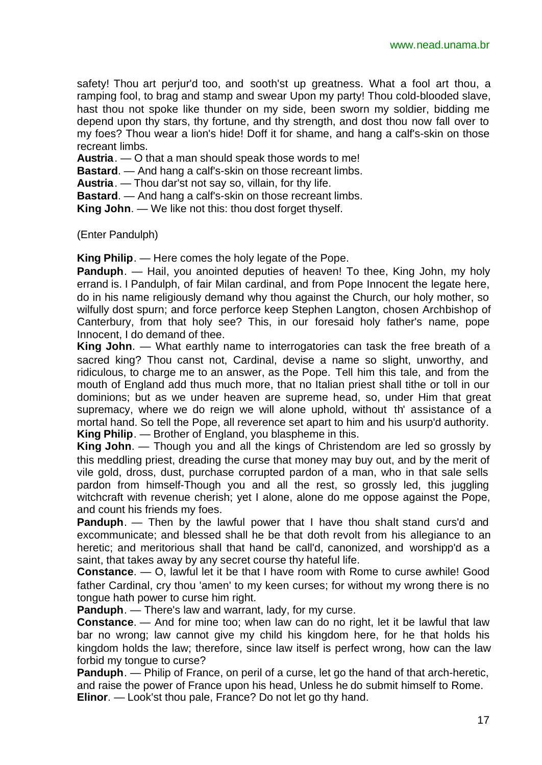safety! Thou art perjur'd too, and sooth'st up greatness. What a fool art thou, a ramping fool, to brag and stamp and swear Upon my party! Thou cold-blooded slave, hast thou not spoke like thunder on my side, been sworn my soldier, bidding me depend upon thy stars, thy fortune, and thy strength, and dost thou now fall over to my foes? Thou wear a lion's hide! Doff it for shame, and hang a calf's-skin on those recreant limbs.

**Austria**. — O that a man should speak those words to me!

**Bastard**. — And hang a calf's-skin on those recreant limbs.

**Austria**. — Thou dar'st not say so, villain, for thy life.

**Bastard**. — And hang a calf's-skin on those recreant limbs.

**King John**. — We like not this: thou dost forget thyself.

(Enter Pandulph)

**King Philip**. — Here comes the holy legate of the Pope.

**Panduph.** — Hail, you anointed deputies of heaven! To thee, King John, my holy errand is. I Pandulph, of fair Milan cardinal, and from Pope Innocent the legate here, do in his name religiously demand why thou against the Church, our holy mother, so wilfully dost spurn; and force perforce keep Stephen Langton, chosen Archbishop of Canterbury, from that holy see? This, in our foresaid holy father's name, pope Innocent, I do demand of thee.

**King John**. — What earthly name to interrogatories can task the free breath of a sacred king? Thou canst not, Cardinal, devise a name so slight, unworthy, and ridiculous, to charge me to an answer, as the Pope. Tell him this tale, and from the mouth of England add thus much more, that no Italian priest shall tithe or toll in our dominions; but as we under heaven are supreme head, so, under Him that great supremacy, where we do reign we will alone uphold, without th' assistance of a mortal hand. So tell the Pope, all reverence set apart to him and his usurp'd authority. **King Philip**. — Brother of England, you blaspheme in this.

**King John**. — Though you and all the kings of Christendom are led so grossly by this meddling priest, dreading the curse that money may buy out, and by the merit of vile gold, dross, dust, purchase corrupted pardon of a man, who in that sale sells pardon from himself-Though you and all the rest, so grossly led, this juggling witchcraft with revenue cherish; yet I alone, alone do me oppose against the Pope, and count his friends my foes.

**Panduph**. — Then by the lawful power that I have thou shalt stand curs'd and excommunicate; and blessed shall he be that doth revolt from his allegiance to an heretic; and meritorious shall that hand be call'd, canonized, and worshipp'd as a saint, that takes away by any secret course thy hateful life.

**Constance**. — O, lawful let it be that I have room with Rome to curse awhile! Good father Cardinal, cry thou 'amen' to my keen curses; for without my wrong there is no tongue hath power to curse him right.

**Panduph**. — There's law and warrant, lady, for my curse.

**Constance**. — And for mine too; when law can do no right, let it be lawful that law bar no wrong; law cannot give my child his kingdom here, for he that holds his kingdom holds the law; therefore, since law itself is perfect wrong, how can the law forbid my tongue to curse?

**Panduph**. — Philip of France, on peril of a curse, let go the hand of that arch-heretic, and raise the power of France upon his head, Unless he do submit himself to Rome. **Elinor**. — Look'st thou pale, France? Do not let go thy hand.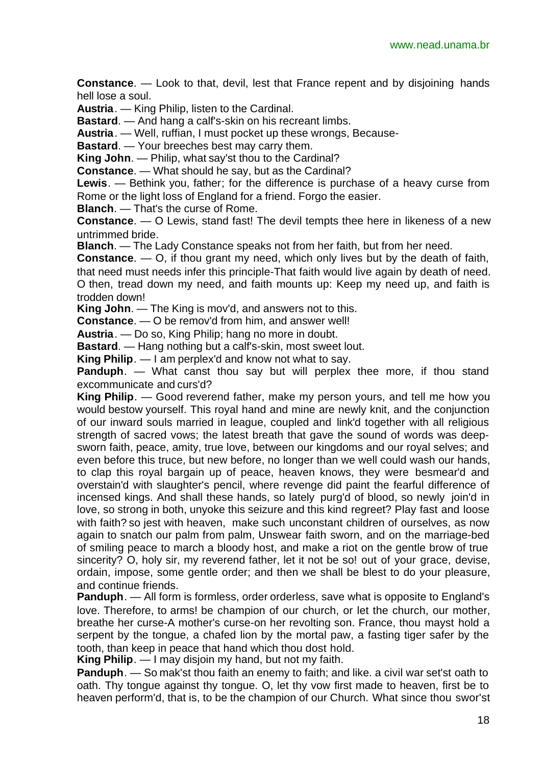**Constance**. — Look to that, devil, lest that France repent and by disjoining hands hell lose a soul.

**Austria**. — King Philip, listen to the Cardinal.

**Bastard**. — And hang a calf's-skin on his recreant limbs.

**Austria**. — Well, ruffian, I must pocket up these wrongs, Because-

**Bastard.** — Your breeches best may carry them.

**King John**. — Philip, what say'st thou to the Cardinal?

**Constance**. — What should he say, but as the Cardinal?

**Lewis**. — Bethink you, father; for the difference is purchase of a heavy curse from Rome or the light loss of England for a friend. Forgo the easier.

**Blanch**. — That's the curse of Rome.

**Constance**. — O Lewis, stand fast! The devil tempts thee here in likeness of a new untrimmed bride.

**Blanch**. — The Lady Constance speaks not from her faith, but from her need.

**Constance**. — O, if thou grant my need, which only lives but by the death of faith,

that need must needs infer this principle-That faith would live again by death of need. O then, tread down my need, and faith mounts up: Keep my need up, and faith is trodden down!

**King John**. — The King is mov'd, and answers not to this.

**Constance**. — O be remov'd from him, and answer well!

**Austria**. — Do so, King Philip; hang no more in doubt.

**Bastard**. — Hang nothing but a calf's-skin, most sweet lout.

**King Philip**. — I am perplex'd and know not what to say.

**Panduph**. — What canst thou say but will perplex thee more, if thou stand excommunicate and curs'd?

**King Philip**. — Good reverend father, make my person yours, and tell me how you would bestow yourself. This royal hand and mine are newly knit, and the conjunction of our inward souls married in league, coupled and link'd together with all religious strength of sacred vows; the latest breath that gave the sound of words was deepsworn faith, peace, amity, true love, between our kingdoms and our royal selves; and even before this truce, but new before, no longer than we well could wash our hands, to clap this royal bargain up of peace, heaven knows, they were besmear'd and overstain'd with slaughter's pencil, where revenge did paint the fearful difference of incensed kings. And shall these hands, so lately purg'd of blood, so newly join'd in love, so strong in both, unyoke this seizure and this kind regreet? Play fast and loose with faith? so jest with heaven, make such unconstant children of ourselves, as now again to snatch our palm from palm, Unswear faith sworn, and on the marriage-bed of smiling peace to march a bloody host, and make a riot on the gentle brow of true sincerity? O, holy sir, my reverend father, let it not be so! out of your grace, devise, ordain, impose, some gentle order; and then we shall be blest to do your pleasure, and continue friends.

**Panduph**. — All form is formless, order orderless, save what is opposite to England's love. Therefore, to arms! be champion of our church, or let the church, our mother, breathe her curse-A mother's curse-on her revolting son. France, thou mayst hold a serpent by the tongue, a chafed lion by the mortal paw, a fasting tiger safer by the tooth, than keep in peace that hand which thou dost hold.

**King Philip**. — I may disjoin my hand, but not my faith.

**Panduph**. — So mak'st thou faith an enemy to faith; and like. a civil war set'st oath to oath. Thy tongue against thy tongue. O, let thy vow first made to heaven, first be to heaven perform'd, that is, to be the champion of our Church. What since thou swor'st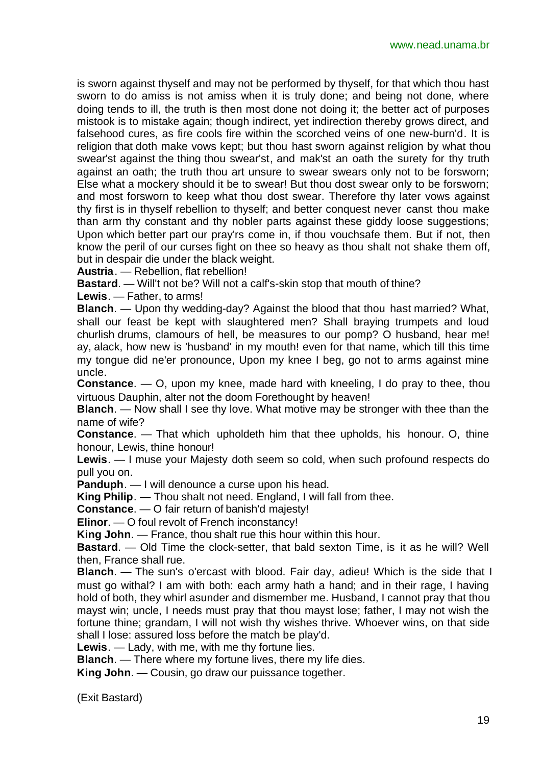is sworn against thyself and may not be performed by thyself, for that which thou hast sworn to do amiss is not amiss when it is truly done; and being not done, where doing tends to ill, the truth is then most done not doing it; the better act of purposes mistook is to mistake again; though indirect, yet indirection thereby grows direct, and falsehood cures, as fire cools fire within the scorched veins of one new-burn'd. It is religion that doth make vows kept; but thou hast sworn against religion by what thou swear'st against the thing thou swear'st, and mak'st an oath the surety for thy truth against an oath; the truth thou art unsure to swear swears only not to be forsworn; Else what a mockery should it be to swear! But thou dost swear only to be forsworn; and most forsworn to keep what thou dost swear. Therefore thy later vows against thy first is in thyself rebellion to thyself; and better conquest never canst thou make than arm thy constant and thy nobler parts against these giddy loose suggestions; Upon which better part our pray'rs come in, if thou vouchsafe them. But if not, then know the peril of our curses fight on thee so heavy as thou shalt not shake them off, but in despair die under the black weight.

**Austria**. — Rebellion, flat rebellion!

**Bastard**. — Will't not be? Will not a calf's-skin stop that mouth of thine?

**Lewis**. — Father, to arms!

**Blanch**. — Upon thy wedding-day? Against the blood that thou hast married? What, shall our feast be kept with slaughtered men? Shall braying trumpets and loud churlish drums, clamours of hell, be measures to our pomp? O husband, hear me! ay, alack, how new is 'husband' in my mouth! even for that name, which till this time my tongue did ne'er pronounce, Upon my knee I beg, go not to arms against mine uncle.

**Constance**. — O, upon my knee, made hard with kneeling, I do pray to thee, thou virtuous Dauphin, alter not the doom Forethought by heaven!

**Blanch**. — Now shall I see thy love. What motive may be stronger with thee than the name of wife?

**Constance**. — That which upholdeth him that thee upholds, his honour. O, thine honour, Lewis, thine honour!

**Lewis**. — I muse your Majesty doth seem so cold, when such profound respects do pull you on.

**Panduph**. — I will denounce a curse upon his head.

**King Philip**. — Thou shalt not need. England, I will fall from thee.

**Constance**. — O fair return of banish'd majesty!

**Elinor**. — O foul revolt of French inconstancy!

**King John**. — France, thou shalt rue this hour within this hour.

**Bastard**. — Old Time the clock-setter, that bald sexton Time, is it as he will? Well then, France shall rue.

**Blanch**. — The sun's o'ercast with blood. Fair day, adieu! Which is the side that I must go withal? I am with both: each army hath a hand; and in their rage, I having hold of both, they whirl asunder and dismember me. Husband, I cannot pray that thou mayst win; uncle, I needs must pray that thou mayst lose; father, I may not wish the fortune thine; grandam, I will not wish thy wishes thrive. Whoever wins, on that side shall I lose: assured loss before the match be play'd.

**Lewis**. — Lady, with me, with me thy fortune lies.

**Blanch**. — There where my fortune lives, there my life dies.

**King John**. — Cousin, go draw our puissance together.

(Exit Bastard)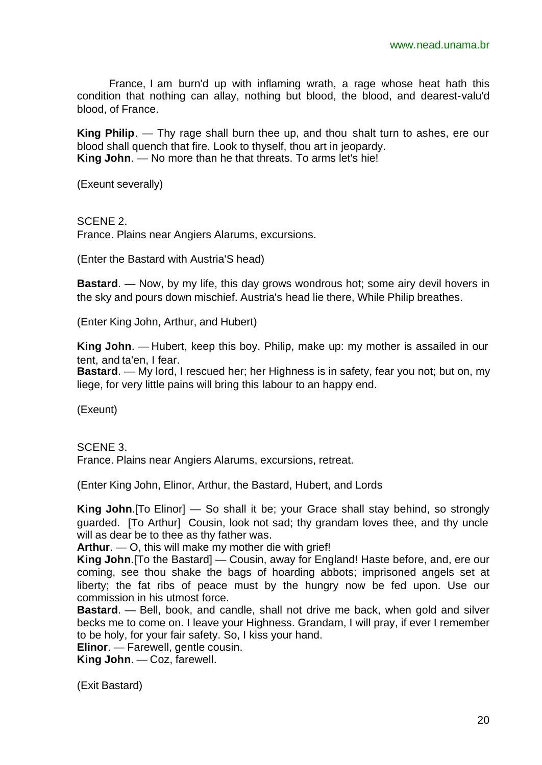France, I am burn'd up with inflaming wrath, a rage whose heat hath this condition that nothing can allay, nothing but blood, the blood, and dearest-valu'd blood, of France.

**King Philip**. — Thy rage shall burn thee up, and thou shalt turn to ashes, ere our blood shall quench that fire. Look to thyself, thou art in jeopardy. **King John**. — No more than he that threats. To arms let's hie!

(Exeunt severally)

SCENE 2.

France. Plains near Angiers Alarums, excursions.

(Enter the Bastard with Austria'S head)

**Bastard**. — Now, by my life, this day grows wondrous hot; some airy devil hovers in the sky and pours down mischief. Austria's head lie there, While Philip breathes.

(Enter King John, Arthur, and Hubert)

**King John**. — Hubert, keep this boy. Philip, make up: my mother is assailed in our tent, and ta'en, I fear.

**Bastard**. — My lord, I rescued her; her Highness is in safety, fear you not; but on, my liege, for very little pains will bring this labour to an happy end.

(Exeunt)

SCENE 3.

France. Plains near Angiers Alarums, excursions, retreat.

(Enter King John, Elinor, Arthur, the Bastard, Hubert, and Lords

**King John**.[To Elinor] — So shall it be; your Grace shall stay behind, so strongly guarded. [To Arthur] Cousin, look not sad; thy grandam loves thee, and thy uncle will as dear be to thee as thy father was.

**Arthur**. — O, this will make my mother die with grief!

**King John**.[To the Bastard] — Cousin, away for England! Haste before, and, ere our coming, see thou shake the bags of hoarding abbots; imprisoned angels set at liberty; the fat ribs of peace must by the hungry now be fed upon. Use our commission in his utmost force.

**Bastard**. — Bell, book, and candle, shall not drive me back, when gold and silver becks me to come on. I leave your Highness. Grandam, I will pray, if ever I remember to be holy, for your fair safety. So, I kiss your hand.

**Elinor**. — Farewell, gentle cousin.

**King John**. — Coz, farewell.

(Exit Bastard)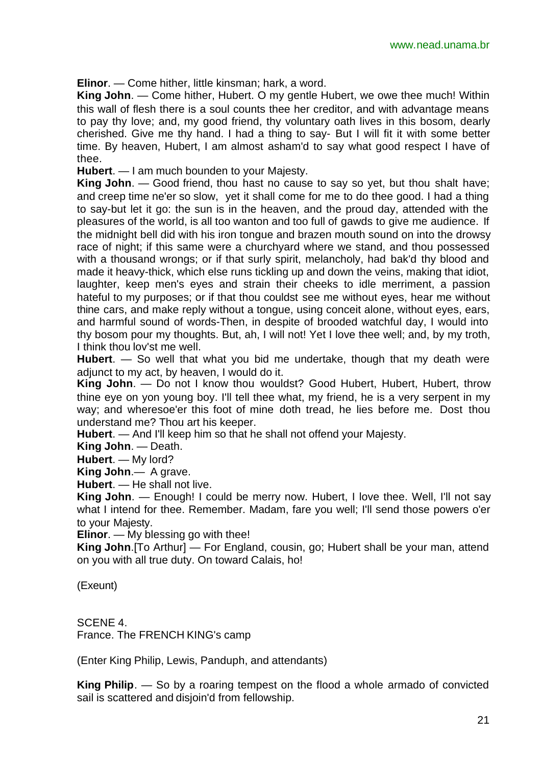**Elinor**. — Come hither, little kinsman; hark, a word.

**King John**. — Come hither, Hubert. O my gentle Hubert, we owe thee much! Within this wall of flesh there is a soul counts thee her creditor, and with advantage means to pay thy love; and, my good friend, thy voluntary oath lives in this bosom, dearly cherished. Give me thy hand. I had a thing to say- But I will fit it with some better time. By heaven, Hubert, I am almost asham'd to say what good respect I have of thee.

**Hubert**. — I am much bounden to your Majesty.

**King John**. — Good friend, thou hast no cause to say so yet, but thou shalt have; and creep time ne'er so slow, yet it shall come for me to do thee good. I had a thing to say-but let it go: the sun is in the heaven, and the proud day, attended with the pleasures of the world, is all too wanton and too full of gawds to give me audience. If the midnight bell did with his iron tongue and brazen mouth sound on into the drowsy race of night; if this same were a churchyard where we stand, and thou possessed with a thousand wrongs; or if that surly spirit, melancholy, had bak'd thy blood and made it heavy-thick, which else runs tickling up and down the veins, making that idiot, laughter, keep men's eyes and strain their cheeks to idle merriment, a passion hateful to my purposes; or if that thou couldst see me without eyes, hear me without thine cars, and make reply without a tongue, using conceit alone, without eyes, ears, and harmful sound of words-Then, in despite of brooded watchful day, I would into thy bosom pour my thoughts. But, ah, I will not! Yet I love thee well; and, by my troth, I think thou lov'st me well.

**Hubert**. — So well that what you bid me undertake, though that my death were adjunct to my act, by heaven, I would do it.

**King John**. — Do not I know thou wouldst? Good Hubert, Hubert, Hubert, throw thine eye on yon young boy. I'll tell thee what, my friend, he is a very serpent in my way; and wheresoe'er this foot of mine doth tread, he lies before me. Dost thou understand me? Thou art his keeper.

**Hubert**. — And I'll keep him so that he shall not offend your Majesty.

**King John**. — Death.

**Hubert**. — My lord?

**King John**.— A grave.

**Hubert**. — He shall not live.

**King John**. — Enough! I could be merry now. Hubert, I love thee. Well, I'll not say what I intend for thee. Remember. Madam, fare you well; I'll send those powers o'er to your Majesty.

**Elinor**. — My blessing go with thee!

**King John**.[To Arthur] — For England, cousin, go; Hubert shall be your man, attend on you with all true duty. On toward Calais, ho!

(Exeunt)

SCENE 4.

France. The FRENCH KING's camp

(Enter King Philip, Lewis, Panduph, and attendants)

**King Philip**. — So by a roaring tempest on the flood a whole armado of convicted sail is scattered and disjoin'd from fellowship.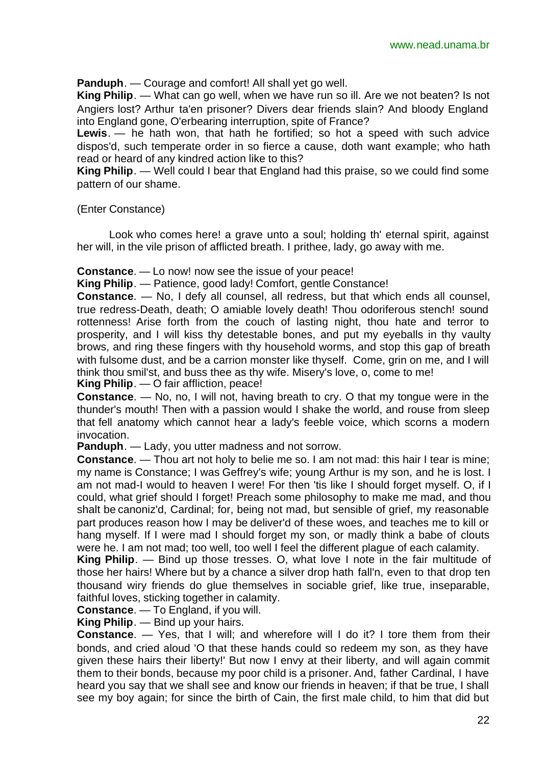**Panduph**. — Courage and comfort! All shall yet go well.

**King Philip**. — What can go well, when we have run so ill. Are we not beaten? Is not Angiers lost? Arthur ta'en prisoner? Divers dear friends slain? And bloody England into England gone, O'erbearing interruption, spite of France?

**Lewis**. — he hath won, that hath he fortified; so hot a speed with such advice dispos'd, such temperate order in so fierce a cause, doth want example; who hath read or heard of any kindred action like to this?

**King Philip**. — Well could I bear that England had this praise, so we could find some pattern of our shame.

(Enter Constance)

Look who comes here! a grave unto a soul; holding th' eternal spirit, against her will, in the vile prison of afflicted breath. I prithee, lady, go away with me.

**Constance**. — Lo now! now see the issue of your peace!

**King Philip**. — Patience, good lady! Comfort, gentle Constance!

**Constance**. — No, I defy all counsel, all redress, but that which ends all counsel, true redress-Death, death; O amiable lovely death! Thou odoriferous stench! sound rottenness! Arise forth from the couch of lasting night, thou hate and terror to prosperity, and I will kiss thy detestable bones, and put my eyeballs in thy vaulty brows, and ring these fingers with thy household worms, and stop this gap of breath with fulsome dust, and be a carrion monster like thyself. Come, grin on me, and I will think thou smil'st, and buss thee as thy wife. Misery's love, o, come to me!

**King Philip**. — O fair affliction, peace!

**Constance**. — No, no, I will not, having breath to cry. O that my tongue were in the thunder's mouth! Then with a passion would I shake the world, and rouse from sleep that fell anatomy which cannot hear a lady's feeble voice, which scorns a modern invocation.

**Panduph**. — Lady, you utter madness and not sorrow.

**Constance**. — Thou art not holy to belie me so. I am not mad: this hair I tear is mine; my name is Constance; I was Geffrey's wife; young Arthur is my son, and he is lost. I am not mad-I would to heaven I were! For then 'tis like I should forget myself. O, if I could, what grief should I forget! Preach some philosophy to make me mad, and thou shalt be canoniz'd, Cardinal; for, being not mad, but sensible of grief, my reasonable part produces reason how I may be deliver'd of these woes, and teaches me to kill or hang myself. If I were mad I should forget my son, or madly think a babe of clouts were he. I am not mad; too well, too well I feel the different plague of each calamity.

**King Philip**. — Bind up those tresses. O, what love I note in the fair multitude of those her hairs! Where but by a chance a silver drop hath fall'n, even to that drop ten thousand wiry friends do glue themselves in sociable grief, like true, inseparable, faithful loves, sticking together in calamity.

**Constance**. — To England, if you will.

**King Philip**. — Bind up your hairs.

**Constance**. — Yes, that I will; and wherefore will I do it? I tore them from their bonds, and cried aloud 'O that these hands could so redeem my son, as they have given these hairs their liberty!' But now I envy at their liberty, and will again commit them to their bonds, because my poor child is a prisoner. And, father Cardinal, I have heard you say that we shall see and know our friends in heaven; if that be true, I shall see my boy again; for since the birth of Cain, the first male child, to him that did but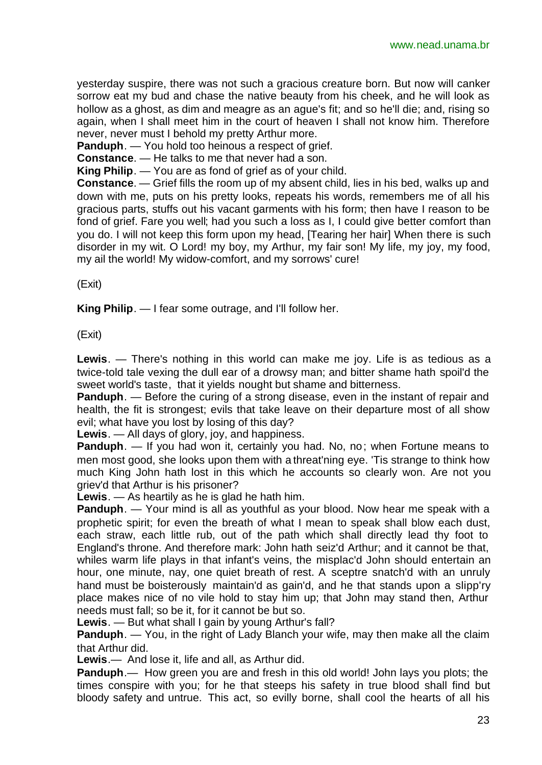yesterday suspire, there was not such a gracious creature born. But now will canker sorrow eat my bud and chase the native beauty from his cheek, and he will look as hollow as a ghost, as dim and meagre as an ague's fit; and so he'll die; and, rising so again, when I shall meet him in the court of heaven I shall not know him. Therefore never, never must I behold my pretty Arthur more.

**Panduph**. — You hold too heinous a respect of grief.

**Constance**. — He talks to me that never had a son.

**King Philip**. — You are as fond of grief as of your child.

**Constance**. — Grief fills the room up of my absent child, lies in his bed, walks up and down with me, puts on his pretty looks, repeats his words, remembers me of all his gracious parts, stuffs out his vacant garments with his form; then have I reason to be fond of grief. Fare you well; had you such a loss as I, I could give better comfort than you do. I will not keep this form upon my head, [Tearing her hair] When there is such disorder in my wit. O Lord! my boy, my Arthur, my fair son! My life, my joy, my food, my ail the world! My widow-comfort, and my sorrows' cure!

(Exit)

**King Philip**. — I fear some outrage, and I'll follow her.

(Exit)

**Lewis**. — There's nothing in this world can make me joy. Life is as tedious as a twice-told tale vexing the dull ear of a drowsy man; and bitter shame hath spoil'd the sweet world's taste, that it yields nought but shame and bitterness.

**Panduph**. — Before the curing of a strong disease, even in the instant of repair and health, the fit is strongest; evils that take leave on their departure most of all show evil; what have you lost by losing of this day?

**Lewis**. — All days of glory, joy, and happiness.

**Panduph.** — If you had won it, certainly you had. No, no; when Fortune means to men most good, she looks upon them with a threat'ning eye. 'Tis strange to think how much King John hath lost in this which he accounts so clearly won. Are not you griev'd that Arthur is his prisoner?

**Lewis**. — As heartily as he is glad he hath him.

**Panduph**. — Your mind is all as youthful as your blood. Now hear me speak with a prophetic spirit; for even the breath of what I mean to speak shall blow each dust, each straw, each little rub, out of the path which shall directly lead thy foot to England's throne. And therefore mark: John hath seiz'd Arthur; and it cannot be that, whiles warm life plays in that infant's veins, the misplac'd John should entertain an hour, one minute, nay, one quiet breath of rest. A sceptre snatch'd with an unruly hand must be boisterously maintain'd as gain'd, and he that stands upon a slipp'ry place makes nice of no vile hold to stay him up; that John may stand then, Arthur needs must fall; so be it, for it cannot be but so.

**Lewis**. — But what shall I gain by young Arthur's fall?

**Panduph.** — You, in the right of Lady Blanch your wife, may then make all the claim that Arthur did.

**Lewis**.— And lose it, life and all, as Arthur did.

**Panduph**.— How green you are and fresh in this old world! John lays you plots; the times conspire with you; for he that steeps his safety in true blood shall find but bloody safety and untrue. This act, so evilly borne, shall cool the hearts of all his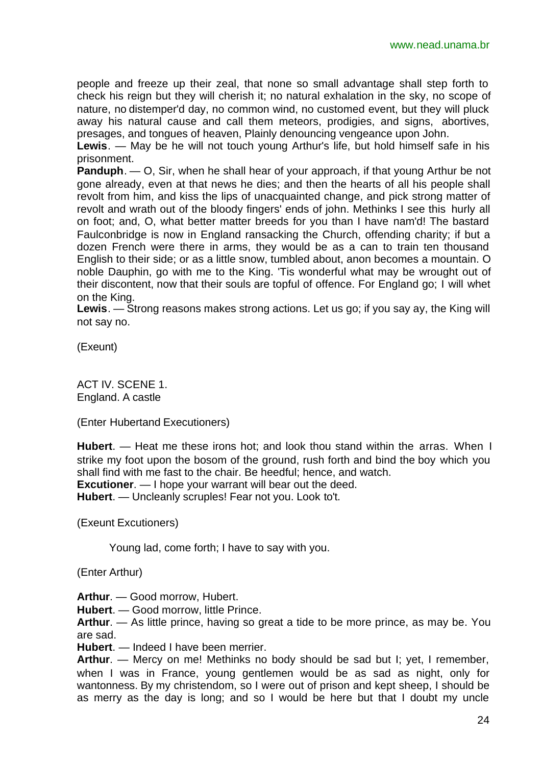people and freeze up their zeal, that none so small advantage shall step forth to check his reign but they will cherish it; no natural exhalation in the sky, no scope of nature, no distemper'd day, no common wind, no customed event, but they will pluck away his natural cause and call them meteors, prodigies, and signs, abortives, presages, and tongues of heaven, Plainly denouncing vengeance upon John.

**Lewis**. — May be he will not touch young Arthur's life, but hold himself safe in his prisonment.

**Panduph**. — O, Sir, when he shall hear of your approach, if that young Arthur be not gone already, even at that news he dies; and then the hearts of all his people shall revolt from him, and kiss the lips of unacquainted change, and pick strong matter of revolt and wrath out of the bloody fingers' ends of john. Methinks I see this hurly all on foot; and, O, what better matter breeds for you than I have nam'd! The bastard Faulconbridge is now in England ransacking the Church, offending charity; if but a dozen French were there in arms, they would be as a can to train ten thousand English to their side; or as a little snow, tumbled about, anon becomes a mountain. O noble Dauphin, go with me to the King. 'Tis wonderful what may be wrought out of their discontent, now that their souls are topful of offence. For England go; I will whet on the King.

**Lewis**. — Strong reasons makes strong actions. Let us go; if you say ay, the King will not say no.

(Exeunt)

ACT IV. SCENE 1. England. A castle

(Enter Hubertand Executioners)

**Hubert**. — Heat me these irons hot; and look thou stand within the arras. When I strike my foot upon the bosom of the ground, rush forth and bind the boy which you shall find with me fast to the chair. Be heedful; hence, and watch. **Excutioner**. — I hope your warrant will bear out the deed. **Hubert**. — Uncleanly scruples! Fear not you. Look to't.

(Exeunt Excutioners)

Young lad, come forth; I have to say with you.

(Enter Arthur)

**Arthur**. — Good morrow, Hubert.

**Hubert**. — Good morrow, little Prince.

**Arthur**. — As little prince, having so great a tide to be more prince, as may be. You are sad.

**Hubert**. — Indeed I have been merrier.

**Arthur**. — Mercy on me! Methinks no body should be sad but I; yet, I remember, when I was in France, young gentlemen would be as sad as night, only for wantonness. By my christendom, so I were out of prison and kept sheep, I should be as merry as the day is long; and so I would be here but that I doubt my uncle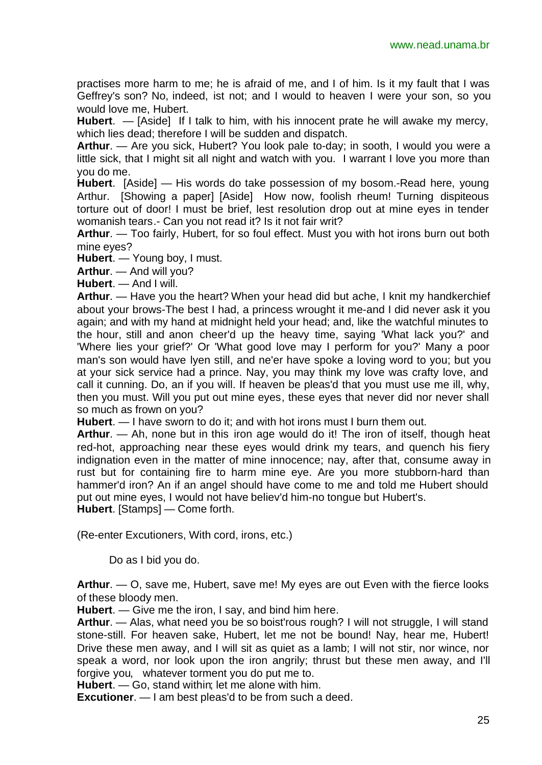practises more harm to me; he is afraid of me, and I of him. Is it my fault that I was Geffrey's son? No, indeed, ist not; and I would to heaven I were your son, so you would love me, Hubert.

**Hubert**. — [Aside] If I talk to him, with his innocent prate he will awake my mercy, which lies dead; therefore I will be sudden and dispatch.

**Arthur**. — Are you sick, Hubert? You look pale to-day; in sooth, I would you were a little sick, that I might sit all night and watch with you. I warrant I love you more than you do me.

**Hubert**. [Aside] — His words do take possession of my bosom.-Read here, young Arthur. [Showing a paper] [Aside] How now, foolish rheum! Turning dispiteous torture out of door! I must be brief, lest resolution drop out at mine eyes in tender womanish tears.- Can you not read it? Is it not fair writ?

**Arthur**. — Too fairly, Hubert, for so foul effect. Must you with hot irons burn out both mine eyes?

**Hubert**. — Young boy, I must.

**Arthur**. — And will you?

**Hubert**. — And I will.

**Arthur**. — Have you the heart? When your head did but ache, I knit my handkerchief about your brows-The best I had, a princess wrought it me-and I did never ask it you again; and with my hand at midnight held your head; and, like the watchful minutes to the hour, still and anon cheer'd up the heavy time, saying 'What lack you?' and 'Where lies your grief?' Or 'What good love may I perform for you?' Many a poor man's son would have lyen still, and ne'er have spoke a loving word to you; but you at your sick service had a prince. Nay, you may think my love was crafty love, and call it cunning. Do, an if you will. If heaven be pleas'd that you must use me ill, why, then you must. Will you put out mine eyes, these eyes that never did nor never shall so much as frown on you?

**Hubert**. — I have sworn to do it; and with hot irons must I burn them out.

**Arthur**. — Ah, none but in this iron age would do it! The iron of itself, though heat red-hot, approaching near these eyes would drink my tears, and quench his fiery indignation even in the matter of mine innocence; nay, after that, consume away in rust but for containing fire to harm mine eye. Are you more stubborn-hard than hammer'd iron? An if an angel should have come to me and told me Hubert should put out mine eyes, I would not have believ'd him-no tongue but Hubert's. **Hubert**. [Stamps] — Come forth.

(Re-enter Excutioners, With cord, irons, etc.)

Do as I bid you do.

**Arthur**. — O, save me, Hubert, save me! My eyes are out Even with the fierce looks of these bloody men.

**Hubert**. — Give me the iron, I say, and bind him here.

**Arthur**. — Alas, what need you be so boist'rous rough? I will not struggle, I will stand stone-still. For heaven sake, Hubert, let me not be bound! Nay, hear me, Hubert! Drive these men away, and I will sit as quiet as a lamb; I will not stir, nor wince, nor speak a word, nor look upon the iron angrily; thrust but these men away, and I'll forgive you, whatever torment you do put me to.

**Hubert**. — Go, stand within; let me alone with him.

**Excutioner**. — I am best pleas'd to be from such a deed.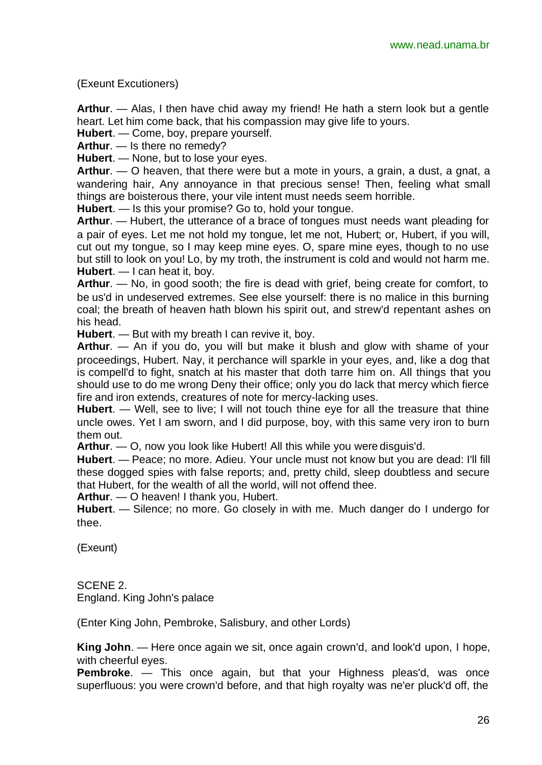(Exeunt Excutioners)

**Arthur**. — Alas, I then have chid away my friend! He hath a stern look but a gentle heart. Let him come back, that his compassion may give life to yours.

**Hubert**. — Come, boy, prepare yourself.

**Arthur**. — Is there no remedy?

**Hubert**. — None, but to lose your eyes.

**Arthur**. — O heaven, that there were but a mote in yours, a grain, a dust, a gnat, a wandering hair, Any annoyance in that precious sense! Then, feeling what small things are boisterous there, your vile intent must needs seem horrible.

**Hubert**. — Is this your promise? Go to, hold your tongue.

**Arthur**. — Hubert, the utterance of a brace of tongues must needs want pleading for a pair of eyes. Let me not hold my tongue, let me not, Hubert; or, Hubert, if you will, cut out my tongue, so I may keep mine eyes. O, spare mine eyes, though to no use but still to look on you! Lo, by my troth, the instrument is cold and would not harm me. **Hubert**. — I can heat it, boy.

**Arthur**. — No, in good sooth; the fire is dead with grief, being create for comfort, to be us'd in undeserved extremes. See else yourself: there is no malice in this burning coal; the breath of heaven hath blown his spirit out, and strew'd repentant ashes on his head.

**Hubert**. — But with my breath I can revive it, boy.

**Arthur**. — An if you do, you will but make it blush and glow with shame of your proceedings, Hubert. Nay, it perchance will sparkle in your eyes, and, like a dog that is compell'd to fight, snatch at his master that doth tarre him on. All things that you should use to do me wrong Deny their office; only you do lack that mercy which fierce fire and iron extends, creatures of note for mercy-lacking uses.

**Hubert**. — Well, see to live; I will not touch thine eye for all the treasure that thine uncle owes. Yet I am sworn, and I did purpose, boy, with this same very iron to burn them out.

**Arthur**. — O, now you look like Hubert! All this while you were disguis'd.

**Hubert**. — Peace; no more. Adieu. Your uncle must not know but you are dead: I'll fill these dogged spies with false reports; and, pretty child, sleep doubtless and secure that Hubert, for the wealth of all the world, will not offend thee.

**Arthur**. — O heaven! I thank you, Hubert.

**Hubert**. — Silence; no more. Go closely in with me. Much danger do I undergo for thee.

(Exeunt)

SCENE 2. England. King John's palace

(Enter King John, Pembroke, Salisbury, and other Lords)

**King John**. — Here once again we sit, once again crown'd, and look'd upon, I hope, with cheerful eyes.

**Pembroke**. — This once again, but that your Highness pleas'd, was once superfluous: you were crown'd before, and that high royalty was ne'er pluck'd off, the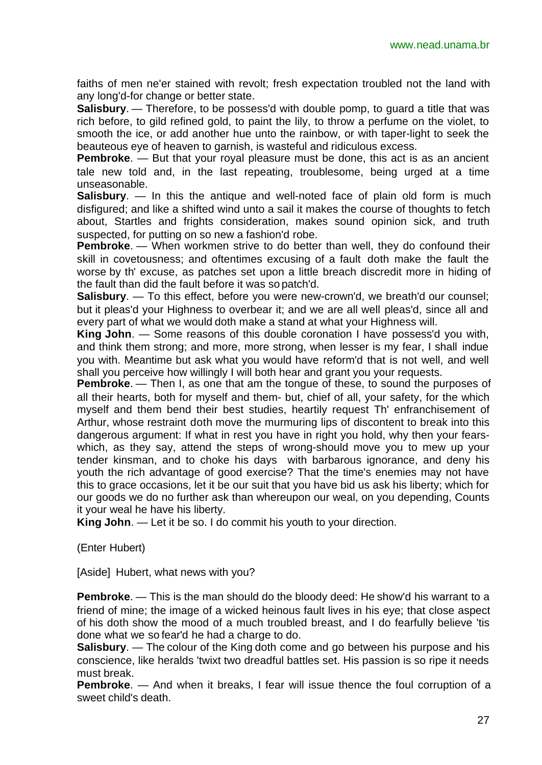faiths of men ne'er stained with revolt; fresh expectation troubled not the land with any long'd-for change or better state.

**Salisbury**. — Therefore, to be possess'd with double pomp, to guard a title that was rich before, to gild refined gold, to paint the lily, to throw a perfume on the violet, to smooth the ice, or add another hue unto the rainbow, or with taper-light to seek the beauteous eye of heaven to garnish, is wasteful and ridiculous excess.

**Pembroke**. — But that your royal pleasure must be done, this act is as an ancient tale new told and, in the last repeating, troublesome, being urged at a time unseasonable.

**Salisbury**. — In this the antique and well-noted face of plain old form is much disfigured; and like a shifted wind unto a sail it makes the course of thoughts to fetch about, Startles and frights consideration, makes sound opinion sick, and truth suspected, for putting on so new a fashion'd robe.

**Pembroke.** — When workmen strive to do better than well, they do confound their skill in covetousness; and oftentimes excusing of a fault doth make the fault the worse by th' excuse, as patches set upon a little breach discredit more in hiding of the fault than did the fault before it was so patch'd.

**Salisbury**. — To this effect, before you were new-crown'd, we breath'd our counsel; but it pleas'd your Highness to overbear it; and we are all well pleas'd, since all and every part of what we would doth make a stand at what your Highness will.

**King John**. — Some reasons of this double coronation I have possess'd you with, and think them strong; and more, more strong, when lesser is my fear, I shall indue you with. Meantime but ask what you would have reform'd that is not well, and well shall you perceive how willingly I will both hear and grant you your requests.

**Pembroke**. — Then I, as one that am the tongue of these, to sound the purposes of all their hearts, both for myself and them- but, chief of all, your safety, for the which myself and them bend their best studies, heartily request Th' enfranchisement of Arthur, whose restraint doth move the murmuring lips of discontent to break into this dangerous argument: If what in rest you have in right you hold, why then your fearswhich, as they say, attend the steps of wrong-should move you to mew up your tender kinsman, and to choke his days with barbarous ignorance, and deny his youth the rich advantage of good exercise? That the time's enemies may not have this to grace occasions, let it be our suit that you have bid us ask his liberty; which for our goods we do no further ask than whereupon our weal, on you depending, Counts it your weal he have his liberty.

**King John**. — Let it be so. I do commit his youth to your direction.

(Enter Hubert)

[Aside] Hubert, what news with you?

**Pembroke**. — This is the man should do the bloody deed: He show'd his warrant to a friend of mine; the image of a wicked heinous fault lives in his eye; that close aspect of his doth show the mood of a much troubled breast, and I do fearfully believe 'tis done what we so fear'd he had a charge to do.

**Salisbury**. — The colour of the King doth come and go between his purpose and his conscience, like heralds 'twixt two dreadful battles set. His passion is so ripe it needs must break.

**Pembroke**. — And when it breaks, I fear will issue thence the foul corruption of a sweet child's death.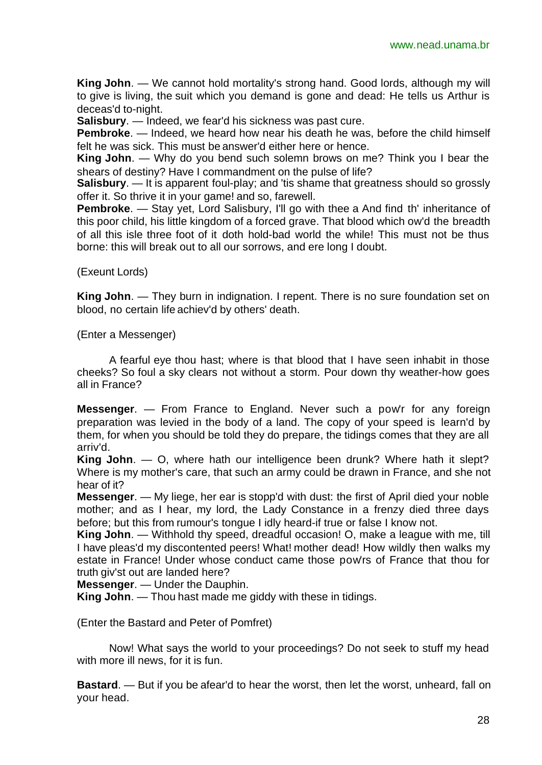**King John**. — We cannot hold mortality's strong hand. Good lords, although my will to give is living, the suit which you demand is gone and dead: He tells us Arthur is deceas'd to-night.

**Salisbury.** — Indeed, we fear'd his sickness was past cure.

**Pembroke**. — Indeed, we heard how near his death he was, before the child himself felt he was sick. This must be answer'd either here or hence.

**King John**. — Why do you bend such solemn brows on me? Think you I bear the shears of destiny? Have I commandment on the pulse of life?

**Salisbury**. — It is apparent foul-play; and 'tis shame that greatness should so grossly offer it. So thrive it in your game! and so, farewell.

**Pembroke.** — Stay yet, Lord Salisbury, I'll go with thee a And find th' inheritance of this poor child, his little kingdom of a forced grave. That blood which ow'd the breadth of all this isle three foot of it doth hold-bad world the while! This must not be thus borne: this will break out to all our sorrows, and ere long I doubt.

(Exeunt Lords)

**King John**. — They burn in indignation. I repent. There is no sure foundation set on blood, no certain life achiev'd by others' death.

(Enter a Messenger)

A fearful eye thou hast; where is that blood that I have seen inhabit in those cheeks? So foul a sky clears not without a storm. Pour down thy weather-how goes all in France?

**Messenger**. — From France to England. Never such a pow'r for any foreign preparation was levied in the body of a land. The copy of your speed is learn'd by them, for when you should be told they do prepare, the tidings comes that they are all arriv'd.

**King John**. — O, where hath our intelligence been drunk? Where hath it slept? Where is my mother's care, that such an army could be drawn in France, and she not hear of it?

**Messenger**. — My liege, her ear is stopp'd with dust: the first of April died your noble mother; and as I hear, my lord, the Lady Constance in a frenzy died three days before; but this from rumour's tongue I idly heard-if true or false I know not.

**King John**. — Withhold thy speed, dreadful occasion! O, make a league with me, till I have pleas'd my discontented peers! What! mother dead! How wildly then walks my estate in France! Under whose conduct came those pow'rs of France that thou for truth giv'st out are landed here?

**Messenger**. — Under the Dauphin.

**King John**. — Thou hast made me giddy with these in tidings.

(Enter the Bastard and Peter of Pomfret)

Now! What says the world to your proceedings? Do not seek to stuff my head with more ill news, for it is fun.

**Bastard**. — But if you be afear'd to hear the worst, then let the worst, unheard, fall on your head.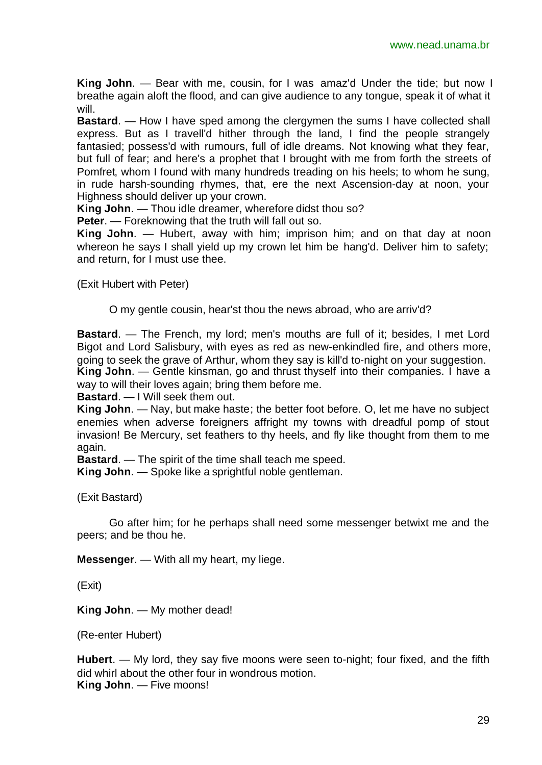**King John**. — Bear with me, cousin, for I was amaz'd Under the tide; but now I breathe again aloft the flood, and can give audience to any tongue, speak it of what it will.

**Bastard.** — How I have sped among the clergymen the sums I have collected shall express. But as I travell'd hither through the land, I find the people strangely fantasied; possess'd with rumours, full of idle dreams. Not knowing what they fear, but full of fear; and here's a prophet that I brought with me from forth the streets of Pomfret, whom I found with many hundreds treading on his heels; to whom he sung, in rude harsh-sounding rhymes, that, ere the next Ascension-day at noon, your Highness should deliver up your crown.

**King John**. — Thou idle dreamer, wherefore didst thou so?

**Peter**. — Foreknowing that the truth will fall out so.

**King John**. — Hubert, away with him; imprison him; and on that day at noon whereon he says I shall yield up my crown let him be hang'd. Deliver him to safety; and return, for I must use thee.

(Exit Hubert with Peter)

O my gentle cousin, hear'st thou the news abroad, who are arriv'd?

**Bastard**. — The French, my lord; men's mouths are full of it; besides, I met Lord Bigot and Lord Salisbury, with eyes as red as new-enkindled fire, and others more, going to seek the grave of Arthur, whom they say is kill'd to-night on your suggestion. **King John**. — Gentle kinsman, go and thrust thyself into their companies. I have a way to will their loves again; bring them before me.

**Bastard**. — I Will seek them out.

**King John**. — Nay, but make haste; the better foot before. O, let me have no subject enemies when adverse foreigners affright my towns with dreadful pomp of stout invasion! Be Mercury, set feathers to thy heels, and fly like thought from them to me again.

**Bastard**. — The spirit of the time shall teach me speed.

**King John**. — Spoke like a sprightful noble gentleman.

(Exit Bastard)

Go after him; for he perhaps shall need some messenger betwixt me and the peers; and be thou he.

**Messenger**. — With all my heart, my liege.

(Exit)

**King John**. — My mother dead!

(Re-enter Hubert)

**Hubert**. — My lord, they say five moons were seen to-night; four fixed, and the fifth did whirl about the other four in wondrous motion. **King John**. — Five moons!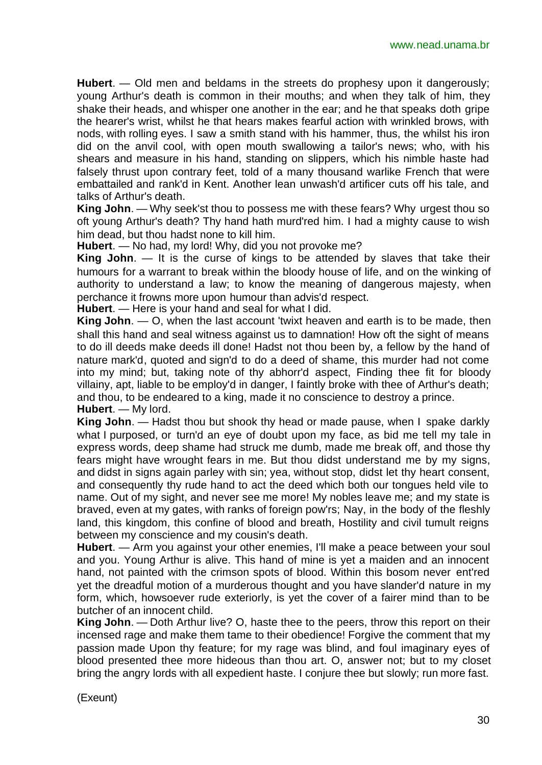**Hubert**. — Old men and beldams in the streets do prophesy upon it dangerously; young Arthur's death is common in their mouths; and when they talk of him, they shake their heads, and whisper one another in the ear; and he that speaks doth gripe the hearer's wrist, whilst he that hears makes fearful action with wrinkled brows, with nods, with rolling eyes. I saw a smith stand with his hammer, thus, the whilst his iron did on the anvil cool, with open mouth swallowing a tailor's news; who, with his shears and measure in his hand, standing on slippers, which his nimble haste had falsely thrust upon contrary feet, told of a many thousand warlike French that were embattailed and rank'd in Kent. Another lean unwash'd artificer cuts off his tale, and talks of Arthur's death.

**King John**. — Why seek'st thou to possess me with these fears? Why urgest thou so oft young Arthur's death? Thy hand hath murd'red him. I had a mighty cause to wish him dead, but thou hadst none to kill him.

**Hubert**. — No had, my lord! Why, did you not provoke me?

**King John**. — It is the curse of kings to be attended by slaves that take their humours for a warrant to break within the bloody house of life, and on the winking of authority to understand a law; to know the meaning of dangerous majesty, when perchance it frowns more upon humour than advis'd respect.

**Hubert**. — Here is your hand and seal for what I did.

**King John**. — O, when the last account 'twixt heaven and earth is to be made, then shall this hand and seal witness against us to damnation! How oft the sight of means to do ill deeds make deeds ill done! Hadst not thou been by, a fellow by the hand of nature mark'd, quoted and sign'd to do a deed of shame, this murder had not come into my mind; but, taking note of thy abhorr'd aspect, Finding thee fit for bloody villainy, apt, liable to be employ'd in danger, I faintly broke with thee of Arthur's death; and thou, to be endeared to a king, made it no conscience to destroy a prince. **Hubert**. — My lord.

**King John**. — Hadst thou but shook thy head or made pause, when I spake darkly what I purposed, or turn'd an eye of doubt upon my face, as bid me tell my tale in express words, deep shame had struck me dumb, made me break off, and those thy fears might have wrought fears in me. But thou didst understand me by my signs, and didst in signs again parley with sin; yea, without stop, didst let thy heart consent, and consequently thy rude hand to act the deed which both our tongues held vile to name. Out of my sight, and never see me more! My nobles leave me; and my state is braved, even at my gates, with ranks of foreign pow'rs; Nay, in the body of the fleshly land, this kingdom, this confine of blood and breath, Hostility and civil tumult reigns between my conscience and my cousin's death.

**Hubert**. — Arm you against your other enemies, I'll make a peace between your soul and you. Young Arthur is alive. This hand of mine is yet a maiden and an innocent hand, not painted with the crimson spots of blood. Within this bosom never ent'red yet the dreadful motion of a murderous thought and you have slander'd nature in my form, which, howsoever rude exteriorly, is yet the cover of a fairer mind than to be butcher of an innocent child.

**King John**. — Doth Arthur live? O, haste thee to the peers, throw this report on their incensed rage and make them tame to their obedience! Forgive the comment that my passion made Upon thy feature; for my rage was blind, and foul imaginary eyes of blood presented thee more hideous than thou art. O, answer not; but to my closet bring the angry lords with all expedient haste. I conjure thee but slowly; run more fast.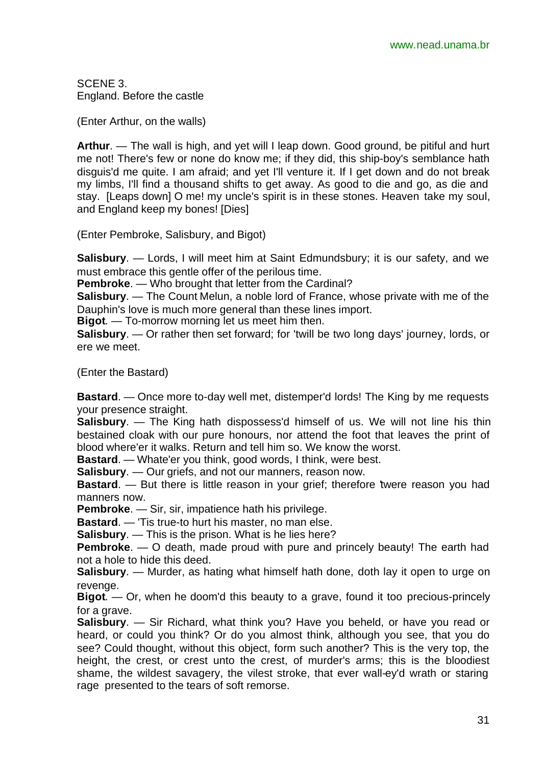SCENE 3. England. Before the castle

(Enter Arthur, on the walls)

**Arthur**. — The wall is high, and yet will I leap down. Good ground, be pitiful and hurt me not! There's few or none do know me; if they did, this ship-boy's semblance hath disguis'd me quite. I am afraid; and yet I'll venture it. If I get down and do not break my limbs, I'll find a thousand shifts to get away. As good to die and go, as die and stay. [Leaps down] O me! my uncle's spirit is in these stones. Heaven take my soul, and England keep my bones! [Dies]

(Enter Pembroke, Salisbury, and Bigot)

**Salisbury**. — Lords, I will meet him at Saint Edmundsbury; it is our safety, and we must embrace this gentle offer of the perilous time.

**Pembroke**. — Who brought that letter from the Cardinal?

**Salisbury**. — The Count Melun, a noble lord of France, whose private with me of the Dauphin's love is much more general than these lines import.

**Bigot**. — To-morrow morning let us meet him then.

**Salisbury**. — Or rather then set forward; for 'twill be two long days' journey, lords, or ere we meet.

(Enter the Bastard)

**Bastard**. — Once more to-day well met, distemper'd lords! The King by me requests your presence straight.

**Salisbury**. — The King hath dispossess'd himself of us. We will not line his thin bestained cloak with our pure honours, nor attend the foot that leaves the print of blood where'er it walks. Return and tell him so. We know the worst.

**Bastard**. — Whate'er you think, good words, I think, were best.

**Salisbury**. — Our griefs, and not our manners, reason now.

**Bastard**. — But there is little reason in your grief; therefore 'twere reason you had manners now.

**Pembroke.** — Sir, sir, impatience hath his privilege.

**Bastard**. — 'Tis true-to hurt his master, no man else.

**Salisbury**. — This is the prison. What is he lies here?

**Pembroke**. — O death, made proud with pure and princely beauty! The earth had not a hole to hide this deed.

**Salisbury**. — Murder, as hating what himself hath done, doth lay it open to urge on revenge.

**Bigot**. — Or, when he doom'd this beauty to a grave, found it too precious-princely for a grave.

**Salisbury**. — Sir Richard, what think you? Have you beheld, or have you read or heard, or could you think? Or do you almost think, although you see, that you do see? Could thought, without this object, form such another? This is the very top, the height, the crest, or crest unto the crest, of murder's arms; this is the bloodiest shame, the wildest savagery, the vilest stroke, that ever wall-ey'd wrath or staring rage presented to the tears of soft remorse.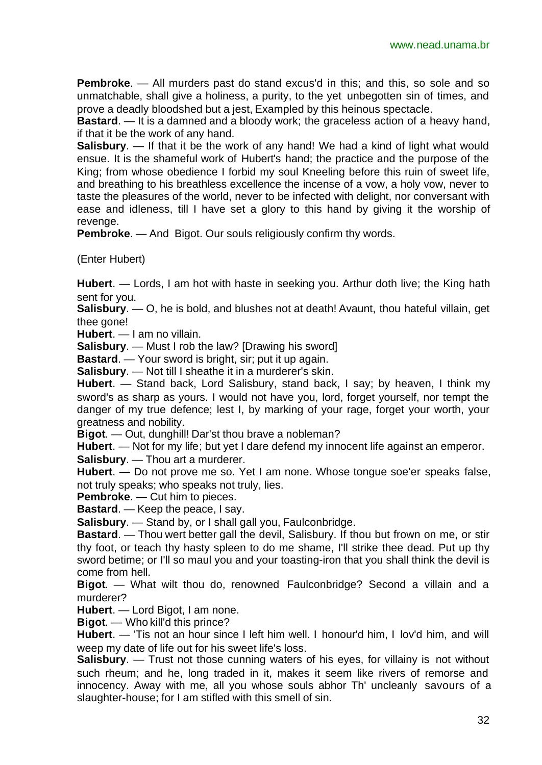**Pembroke**. — All murders past do stand excus'd in this; and this, so sole and so unmatchable, shall give a holiness, a purity, to the yet unbegotten sin of times, and prove a deadly bloodshed but a jest, Exampled by this heinous spectacle.

**Bastard**. — It is a damned and a bloody work; the graceless action of a heavy hand, if that it be the work of any hand.

**Salisbury**. — If that it be the work of any hand! We had a kind of light what would ensue. It is the shameful work of Hubert's hand; the practice and the purpose of the King; from whose obedience I forbid my soul Kneeling before this ruin of sweet life, and breathing to his breathless excellence the incense of a vow, a holy vow, never to taste the pleasures of the world, never to be infected with delight, nor conversant with ease and idleness, till I have set a glory to this hand by giving it the worship of revenge.

**Pembroke.** — And Bigot. Our souls religiously confirm thy words.

(Enter Hubert)

**Hubert**. — Lords, I am hot with haste in seeking you. Arthur doth live; the King hath sent for you.

**Salisbury**. — O, he is bold, and blushes not at death! Avaunt, thou hateful villain, get thee gone!

**Hubert**. — I am no villain.

**Salisbury**. — Must I rob the law? [Drawing his sword]

**Bastard.** — Your sword is bright, sir; put it up again.

**Salisbury**. — Not till I sheathe it in a murderer's skin.

**Hubert**. — Stand back, Lord Salisbury, stand back, I say; by heaven, I think my sword's as sharp as yours. I would not have you, lord, forget yourself, nor tempt the danger of my true defence; lest I, by marking of your rage, forget your worth, your greatness and nobility.

**Bigot**. — Out, dunghill! Dar'st thou brave a nobleman?

**Hubert**. — Not for my life; but yet I dare defend my innocent life against an emperor.

**Salisbury**. — Thou art a murderer.

**Hubert**. — Do not prove me so. Yet I am none. Whose tongue soe'er speaks false, not truly speaks; who speaks not truly, lies.

**Pembroke**. — Cut him to pieces.

**Bastard**. — Keep the peace, I say.

**Salisbury**. — Stand by, or I shall gall you, Faulconbridge.

**Bastard**. — Thou wert better gall the devil, Salisbury. If thou but frown on me, or stir thy foot, or teach thy hasty spleen to do me shame, I'll strike thee dead. Put up thy sword betime; or I'll so maul you and your toasting-iron that you shall think the devil is come from hell.

**Bigot**. — What wilt thou do, renowned Faulconbridge? Second a villain and a murderer?

**Hubert**. — Lord Bigot, I am none.

**Bigot**. — Who kill'd this prince?

**Hubert**. — 'Tis not an hour since I left him well. I honour'd him, I lov'd him, and will weep my date of life out for his sweet life's loss.

**Salisbury**. — Trust not those cunning waters of his eyes, for villainy is not without such rheum; and he, long traded in it, makes it seem like rivers of remorse and innocency. Away with me, all you whose souls abhor Th' uncleanly savours of a slaughter-house; for I am stifled with this smell of sin.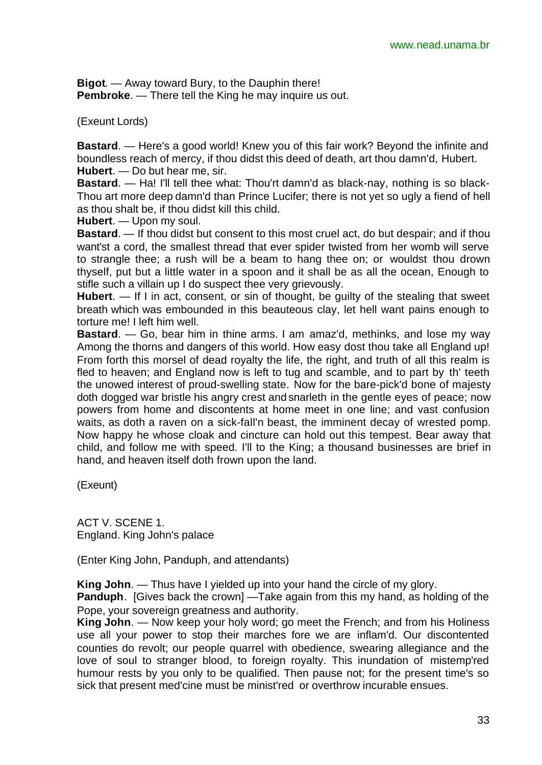**Bigot**. — Away toward Bury, to the Dauphin there! **Pembroke.** — There tell the King he may inquire us out.

(Exeunt Lords)

**Bastard**. — Here's a good world! Knew you of this fair work? Beyond the infinite and boundless reach of mercy, if thou didst this deed of death, art thou damn'd, Hubert. **Hubert**. — Do but hear me, sir.

**Bastard**. — Ha! I'll tell thee what: Thou'rt damn'd as black-nay, nothing is so black-Thou art more deep damn'd than Prince Lucifer; there is not yet so ugly a fiend of hell as thou shalt be, if thou didst kill this child.

**Hubert**. — Upon my soul.

**Bastard**. — If thou didst but consent to this most cruel act, do but despair; and if thou want'st a cord, the smallest thread that ever spider twisted from her womb will serve to strangle thee; a rush will be a beam to hang thee on; or wouldst thou drown thyself, put but a little water in a spoon and it shall be as all the ocean, Enough to stifle such a villain up I do suspect thee very grievously.

**Hubert**. — If I in act, consent, or sin of thought, be guilty of the stealing that sweet breath which was embounded in this beauteous clay, let hell want pains enough to torture me! I left him well.

**Bastard**. — Go, bear him in thine arms. I am amaz'd, methinks, and lose my way Among the thorns and dangers of this world. How easy dost thou take all England up! From forth this morsel of dead royalty the life, the right, and truth of all this realm is fled to heaven; and England now is left to tug and scamble, and to part by th' teeth the unowed interest of proud-swelling state. Now for the bare-pick'd bone of majesty doth dogged war bristle his angry crest and snarleth in the gentle eyes of peace; now powers from home and discontents at home meet in one line; and vast confusion waits, as doth a raven on a sick-fall'n beast, the imminent decay of wrested pomp. Now happy he whose cloak and cincture can hold out this tempest. Bear away that child, and follow me with speed. I'll to the King; a thousand businesses are brief in hand, and heaven itself doth frown upon the land.

(Exeunt)

ACT V. SCENE 1. England. King John's palace

(Enter King John, Panduph, and attendants)

**King John**. — Thus have I yielded up into your hand the circle of my glory.

**Panduph**. [Gives back the crown] — Take again from this my hand, as holding of the Pope, your sovereign greatness and authority.

**King John**. — Now keep your holy word; go meet the French; and from his Holiness use all your power to stop their marches fore we are inflam'd. Our discontented counties do revolt; our people quarrel with obedience, swearing allegiance and the love of soul to stranger blood, to foreign royalty. This inundation of mistemp'red humour rests by you only to be qualified. Then pause not; for the present time's so sick that present med'cine must be minist'red or overthrow incurable ensues.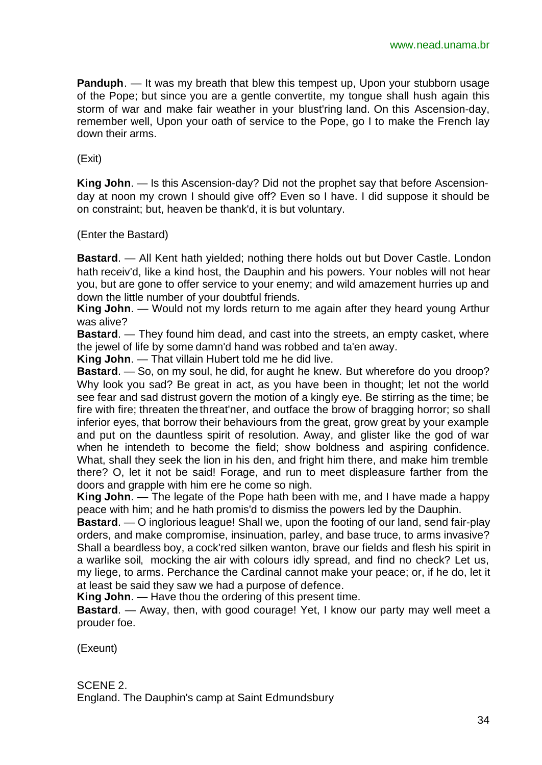**Panduph.** — It was my breath that blew this tempest up, Upon your stubborn usage of the Pope; but since you are a gentle convertite, my tongue shall hush again this storm of war and make fair weather in your blust'ring land. On this Ascension-day, remember well, Upon your oath of service to the Pope, go I to make the French lay down their arms.

(Exit)

**King John**. — Is this Ascension-day? Did not the prophet say that before Ascensionday at noon my crown I should give off? Even so I have. I did suppose it should be on constraint; but, heaven be thank'd, it is but voluntary.

(Enter the Bastard)

**Bastard**. — All Kent hath yielded; nothing there holds out but Dover Castle. London hath receiv'd, like a kind host, the Dauphin and his powers. Your nobles will not hear you, but are gone to offer service to your enemy; and wild amazement hurries up and down the little number of your doubtful friends.

**King John**. — Would not my lords return to me again after they heard young Arthur was alive?

**Bastard**. — They found him dead, and cast into the streets, an empty casket, where the jewel of life by some damn'd hand was robbed and ta'en away.

**King John**. — That villain Hubert told me he did live.

**Bastard**. — So, on my soul, he did, for aught he knew. But wherefore do you droop? Why look you sad? Be great in act, as you have been in thought; let not the world see fear and sad distrust govern the motion of a kingly eye. Be stirring as the time; be fire with fire; threaten the threat'ner, and outface the brow of bragging horror; so shall inferior eyes, that borrow their behaviours from the great, grow great by your example and put on the dauntless spirit of resolution. Away, and glister like the god of war when he intendeth to become the field; show boldness and aspiring confidence. What, shall they seek the lion in his den, and fright him there, and make him tremble there? O, let it not be said! Forage, and run to meet displeasure farther from the doors and grapple with him ere he come so nigh.

**King John**. — The legate of the Pope hath been with me, and I have made a happy peace with him; and he hath promis'd to dismiss the powers led by the Dauphin.

**Bastard**. — O inglorious league! Shall we, upon the footing of our land, send fair-play orders, and make compromise, insinuation, parley, and base truce, to arms invasive? Shall a beardless boy, a cock'red silken wanton, brave our fields and flesh his spirit in a warlike soil, mocking the air with colours idly spread, and find no check? Let us, my liege, to arms. Perchance the Cardinal cannot make your peace; or, if he do, let it at least be said they saw we had a purpose of defence.

**King John**. — Have thou the ordering of this present time.

**Bastard**. — Away, then, with good courage! Yet, I know our party may well meet a prouder foe.

(Exeunt)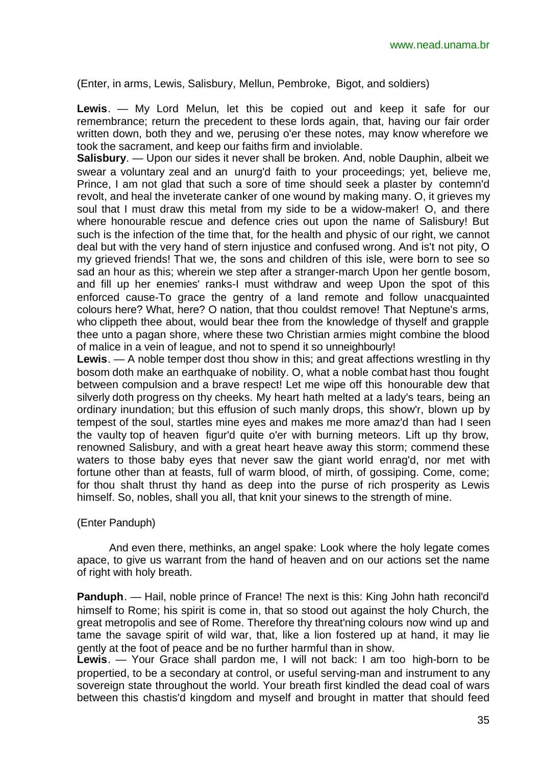(Enter, in arms, Lewis, Salisbury, Mellun, Pembroke, Bigot, and soldiers)

**Lewis**. — My Lord Melun, let this be copied out and keep it safe for our remembrance; return the precedent to these lords again, that, having our fair order written down, both they and we, perusing o'er these notes, may know wherefore we took the sacrament, and keep our faiths firm and inviolable.

**Salisbury**. — Upon our sides it never shall be broken. And, noble Dauphin, albeit we swear a voluntary zeal and an unurg'd faith to your proceedings; yet, believe me, Prince, I am not glad that such a sore of time should seek a plaster by contemn'd revolt, and heal the inveterate canker of one wound by making many. O, it grieves my soul that I must draw this metal from my side to be a widow-maker! O, and there where honourable rescue and defence cries out upon the name of Salisbury! But such is the infection of the time that, for the health and physic of our right, we cannot deal but with the very hand of stern injustice and confused wrong. And is't not pity, O my grieved friends! That we, the sons and children of this isle, were born to see so sad an hour as this; wherein we step after a stranger-march Upon her gentle bosom, and fill up her enemies' ranks-I must withdraw and weep Upon the spot of this enforced cause-To grace the gentry of a land remote and follow unacquainted colours here? What, here? O nation, that thou couldst remove! That Neptune's arms, who clippeth thee about, would bear thee from the knowledge of thyself and grapple thee unto a pagan shore, where these two Christian armies might combine the blood of malice in a vein of league, and not to spend it so unneighbourly!

**Lewis**. — A noble temper dost thou show in this; and great affections wrestling in thy bosom doth make an earthquake of nobility. O, what a noble combat hast thou fought between compulsion and a brave respect! Let me wipe off this honourable dew that silverly doth progress on thy cheeks. My heart hath melted at a lady's tears, being an ordinary inundation; but this effusion of such manly drops, this show'r, blown up by tempest of the soul, startles mine eyes and makes me more amaz'd than had I seen the vaulty top of heaven figur'd quite o'er with burning meteors. Lift up thy brow, renowned Salisbury, and with a great heart heave away this storm; commend these waters to those baby eyes that never saw the giant world enrag'd, nor met with fortune other than at feasts, full of warm blood, of mirth, of gossiping. Come, come; for thou shalt thrust thy hand as deep into the purse of rich prosperity as Lewis himself. So, nobles, shall you all, that knit your sinews to the strength of mine.

## (Enter Panduph)

And even there, methinks, an angel spake: Look where the holy legate comes apace, to give us warrant from the hand of heaven and on our actions set the name of right with holy breath.

**Panduph.** — Hail, noble prince of France! The next is this: King John hath reconcil'd himself to Rome; his spirit is come in, that so stood out against the holy Church, the great metropolis and see of Rome. Therefore thy threat'ning colours now wind up and tame the savage spirit of wild war, that, like a lion fostered up at hand, it may lie gently at the foot of peace and be no further harmful than in show.

**Lewis**. — Your Grace shall pardon me, I will not back: I am too high-born to be propertied, to be a secondary at control, or useful serving-man and instrument to any sovereign state throughout the world. Your breath first kindled the dead coal of wars between this chastis'd kingdom and myself and brought in matter that should feed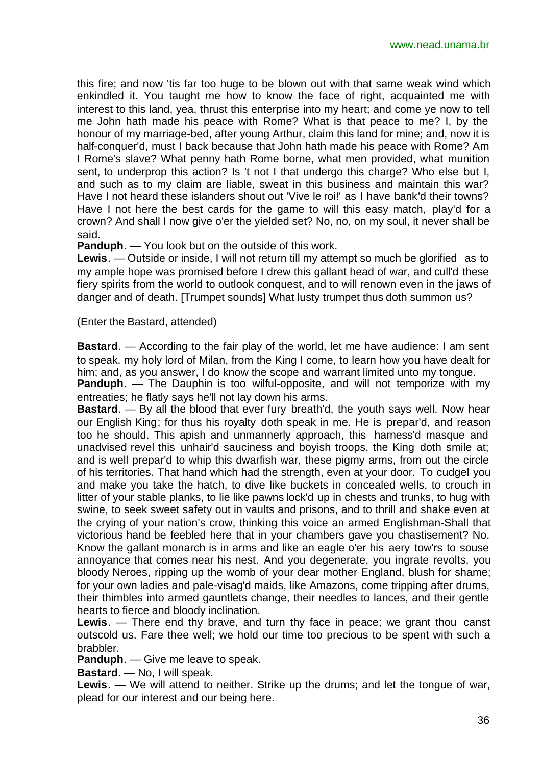this fire; and now 'tis far too huge to be blown out with that same weak wind which enkindled it. You taught me how to know the face of right, acquainted me with interest to this land, yea, thrust this enterprise into my heart; and come ye now to tell me John hath made his peace with Rome? What is that peace to me? I, by the honour of my marriage-bed, after young Arthur, claim this land for mine; and, now it is half-conquer'd, must I back because that John hath made his peace with Rome? Am I Rome's slave? What penny hath Rome borne, what men provided, what munition sent, to underprop this action? Is 't not I that undergo this charge? Who else but I, and such as to my claim are liable, sweat in this business and maintain this war? Have I not heard these islanders shout out 'Vive le roi!' as I have bank'd their towns? Have I not here the best cards for the game to will this easy match, play'd for a crown? And shall I now give o'er the yielded set? No, no, on my soul, it never shall be said.

**Panduph**. — You look but on the outside of this work.

**Lewis**. — Outside or inside, I will not return till my attempt so much be glorified as to my ample hope was promised before I drew this gallant head of war, and cull'd these fiery spirits from the world to outlook conquest, and to will renown even in the jaws of danger and of death. [Trumpet sounds] What lusty trumpet thus doth summon us?

(Enter the Bastard, attended)

**Bastard**. — According to the fair play of the world, let me have audience: I am sent to speak. my holy lord of Milan, from the King I come, to learn how you have dealt for him; and, as you answer, I do know the scope and warrant limited unto my tongue. **Panduph.** — The Dauphin is too wilful-opposite, and will not temporize with my entreaties; he flatly says he'll not lay down his arms.

**Bastard**. — By all the blood that ever fury breath'd, the youth says well. Now hear our English King; for thus his royalty doth speak in me. He is prepar'd, and reason too he should. This apish and unmannerly approach, this harness'd masque and unadvised revel this unhair'd sauciness and boyish troops, the King doth smile at; and is well prepar'd to whip this dwarfish war, these pigmy arms, from out the circle of his territories. That hand which had the strength, even at your door. To cudgel you and make you take the hatch, to dive like buckets in concealed wells, to crouch in litter of your stable planks, to lie like pawns lock'd up in chests and trunks, to hug with swine, to seek sweet safety out in vaults and prisons, and to thrill and shake even at the crying of your nation's crow, thinking this voice an armed Englishman-Shall that victorious hand be feebled here that in your chambers gave you chastisement? No. Know the gallant monarch is in arms and like an eagle o'er his aery tow'rs to souse annoyance that comes near his nest. And you degenerate, you ingrate revolts, you bloody Neroes, ripping up the womb of your dear mother England, blush for shame; for your own ladies and pale-visag'd maids, like Amazons, come tripping after drums, their thimbles into armed gauntlets change, their needles to lances, and their gentle hearts to fierce and bloody inclination.

**Lewis**. — There end thy brave, and turn thy face in peace; we grant thou canst outscold us. Fare thee well; we hold our time too precious to be spent with such a brabbler.

**Panduph**. — Give me leave to speak.

**Bastard**. — No, I will speak.

**Lewis**. — We will attend to neither. Strike up the drums; and let the tongue of war, plead for our interest and our being here.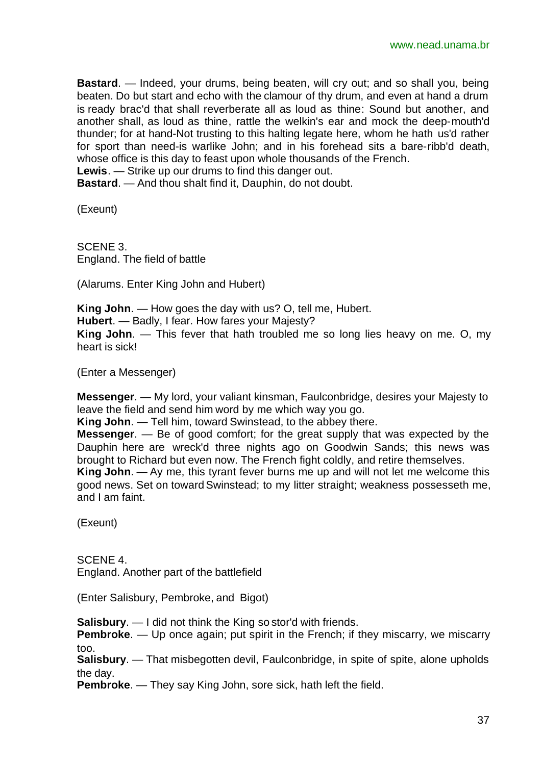**Bastard**. — Indeed, your drums, being beaten, will cry out; and so shall you, being beaten. Do but start and echo with the clamour of thy drum, and even at hand a drum is ready brac'd that shall reverberate all as loud as thine: Sound but another, and another shall, as loud as thine, rattle the welkin's ear and mock the deep-mouth'd thunder; for at hand-Not trusting to this halting legate here, whom he hath us'd rather for sport than need-is warlike John; and in his forehead sits a bare-ribb'd death, whose office is this day to feast upon whole thousands of the French.

**Lewis**. — Strike up our drums to find this danger out.

**Bastard**. — And thou shalt find it, Dauphin, do not doubt.

(Exeunt)

SCENE 3. England. The field of battle

(Alarums. Enter King John and Hubert)

**King John**. — How goes the day with us? O, tell me, Hubert. **Hubert**. — Badly, I fear. How fares your Majesty? **King John**. — This fever that hath troubled me so long lies heavy on me. O, my heart is sick!

(Enter a Messenger)

**Messenger**. — My lord, your valiant kinsman, Faulconbridge, desires your Majesty to leave the field and send him word by me which way you go.

**King John**. — Tell him, toward Swinstead, to the abbey there.

**Messenger**. — Be of good comfort; for the great supply that was expected by the Dauphin here are wreck'd three nights ago on Goodwin Sands; this news was brought to Richard but even now. The French fight coldly, and retire themselves. **King John**. — Ay me, this tyrant fever burns me up and will not let me welcome this

good news. Set on toward Swinstead; to my litter straight; weakness possesseth me, and I am faint.

(Exeunt)

SCENE 4. England. Another part of the battlefield

(Enter Salisbury, Pembroke, and Bigot)

**Salisbury**. — I did not think the King so stor'd with friends.

**Pembroke.** — Up once again; put spirit in the French; if they miscarry, we miscarry too.

**Salisbury**. — That misbegotten devil, Faulconbridge, in spite of spite, alone upholds the day.

**Pembroke**. — They say King John, sore sick, hath left the field.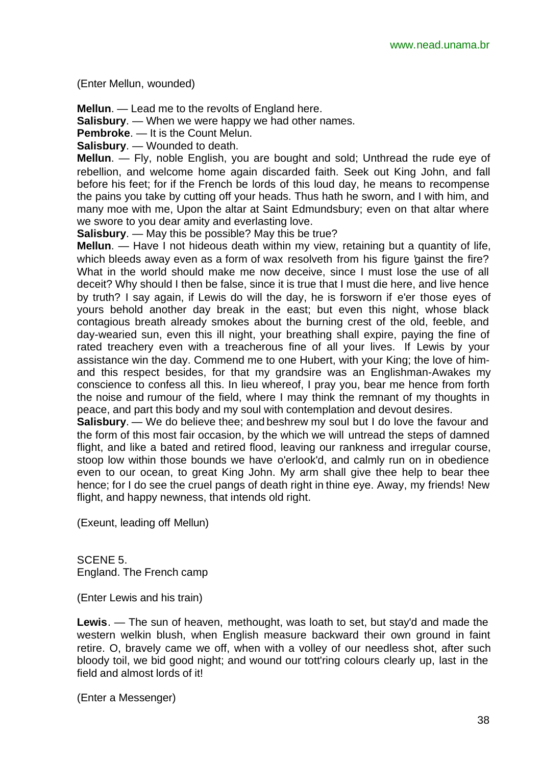(Enter Mellun, wounded)

**Mellun**. — Lead me to the revolts of England here.

**Salisbury**. — When we were happy we had other names.

**Pembroke**. — It is the Count Melun.

**Salisbury**. — Wounded to death.

**Mellun**. — Fly, noble English, you are bought and sold; Unthread the rude eye of rebellion, and welcome home again discarded faith. Seek out King John, and fall before his feet; for if the French be lords of this loud day, he means to recompense the pains you take by cutting off your heads. Thus hath he sworn, and I with him, and many moe with me, Upon the altar at Saint Edmundsbury; even on that altar where we swore to you dear amity and everlasting love.

**Salisbury**. — May this be possible? May this be true?

**Mellun**. — Have I not hideous death within my view, retaining but a quantity of life, which bleeds away even as a form of wax resolveth from his figure 'gainst the fire? What in the world should make me now deceive, since I must lose the use of all deceit? Why should I then be false, since it is true that I must die here, and live hence by truth? I say again, if Lewis do will the day, he is forsworn if e'er those eyes of yours behold another day break in the east; but even this night, whose black contagious breath already smokes about the burning crest of the old, feeble, and day-wearied sun, even this ill night, your breathing shall expire, paying the fine of rated treachery even with a treacherous fine of all your lives. If Lewis by your assistance win the day. Commend me to one Hubert, with your King; the love of himand this respect besides, for that my grandsire was an Englishman-Awakes my conscience to confess all this. In lieu whereof, I pray you, bear me hence from forth the noise and rumour of the field, where I may think the remnant of my thoughts in peace, and part this body and my soul with contemplation and devout desires.

**Salisbury**. — We do believe thee; and beshrew my soul but I do love the favour and the form of this most fair occasion, by the which we will untread the steps of damned flight, and like a bated and retired flood, leaving our rankness and irregular course, stoop low within those bounds we have o'erlook'd, and calmly run on in obedience even to our ocean, to great King John. My arm shall give thee help to bear thee hence; for I do see the cruel pangs of death right in thine eye. Away, my friends! New flight, and happy newness, that intends old right.

(Exeunt, leading off Mellun)

SCENE 5. England. The French camp

(Enter Lewis and his train)

**Lewis**. — The sun of heaven, methought, was loath to set, but stay'd and made the western welkin blush, when English measure backward their own ground in faint retire. O, bravely came we off, when with a volley of our needless shot, after such bloody toil, we bid good night; and wound our tott'ring colours clearly up, last in the field and almost lords of it!

(Enter a Messenger)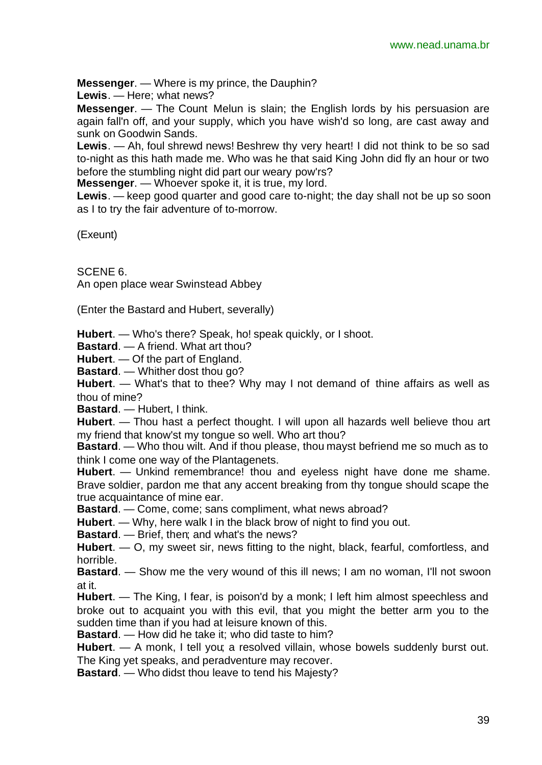**Messenger**. — Where is my prince, the Dauphin?

**Lewis**. — Here; what news?

**Messenger**. — The Count Melun is slain; the English lords by his persuasion are again fall'n off, and your supply, which you have wish'd so long, are cast away and sunk on Goodwin Sands.

**Lewis**. — Ah, foul shrewd news! Beshrew thy very heart! I did not think to be so sad to-night as this hath made me. Who was he that said King John did fly an hour or two before the stumbling night did part our weary pow'rs?

**Messenger**. — Whoever spoke it, it is true, my lord.

**Lewis**. — keep good quarter and good care to-night; the day shall not be up so soon as I to try the fair adventure of to-morrow.

(Exeunt)

SCENE 6.

An open place wear Swinstead Abbey

(Enter the Bastard and Hubert, severally)

**Hubert**. — Who's there? Speak, ho! speak quickly, or I shoot.

**Bastard**. — A friend. What art thou?

**Hubert**. — Of the part of England.

**Bastard**. — Whither dost thou go?

**Hubert**. — What's that to thee? Why may I not demand of thine affairs as well as thou of mine?

**Bastard**. — Hubert, I think.

**Hubert**. — Thou hast a perfect thought. I will upon all hazards well believe thou art my friend that know'st my tongue so well. Who art thou?

**Bastard**. — Who thou wilt. And if thou please, thou mayst befriend me so much as to think I come one way of the Plantagenets.

**Hubert**. — Unkind remembrance! thou and eyeless night have done me shame. Brave soldier, pardon me that any accent breaking from thy tongue should scape the true acquaintance of mine ear.

**Bastard**. — Come, come; sans compliment, what news abroad?

**Hubert**. — Why, here walk I in the black brow of night to find you out.

**Bastard**. — Brief, then; and what's the news?

**Hubert**. — O, my sweet sir, news fitting to the night, black, fearful, comfortless, and horrible.

**Bastard**. — Show me the very wound of this ill news; I am no woman, I'll not swoon at it.

**Hubert**. — The King, I fear, is poison'd by a monk; I left him almost speechless and broke out to acquaint you with this evil, that you might the better arm you to the sudden time than if you had at leisure known of this.

**Bastard**. — How did he take it; who did taste to him?

**Hubert**. — A monk, I tell you; a resolved villain, whose bowels suddenly burst out. The King yet speaks, and peradventure may recover.

**Bastard**. — Who didst thou leave to tend his Majesty?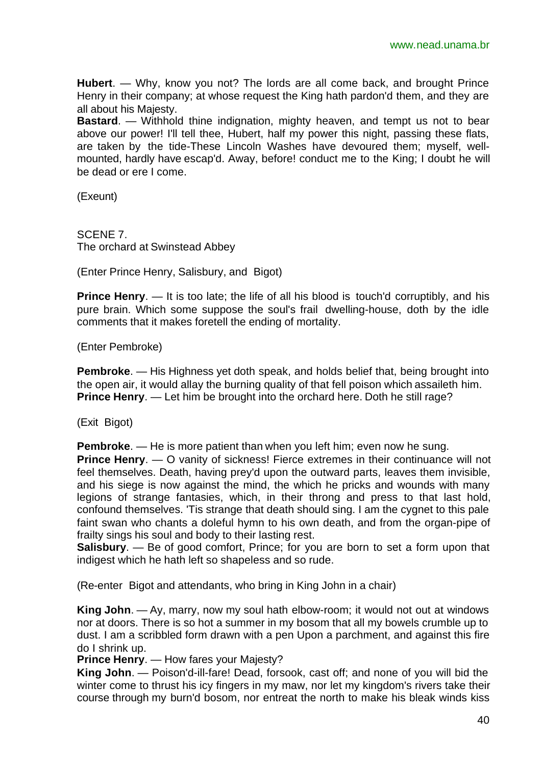**Hubert**. — Why, know you not? The lords are all come back, and brought Prince Henry in their company; at whose request the King hath pardon'd them, and they are all about his Majesty.

**Bastard**. — Withhold thine indignation, mighty heaven, and tempt us not to bear above our power! I'll tell thee, Hubert, half my power this night, passing these flats, are taken by the tide-These Lincoln Washes have devoured them; myself, wellmounted, hardly have escap'd. Away, before! conduct me to the King; I doubt he will be dead or ere I come.

(Exeunt)

SCENE 7. The orchard at Swinstead Abbey

(Enter Prince Henry, Salisbury, and Bigot)

**Prince Henry.** — It is too late; the life of all his blood is touch'd corruptibly, and his pure brain. Which some suppose the soul's frail dwelling-house, doth by the idle comments that it makes foretell the ending of mortality.

(Enter Pembroke)

**Pembroke**. — His Highness yet doth speak, and holds belief that, being brought into the open air, it would allay the burning quality of that fell poison which assaileth him. **Prince Henry**. — Let him be brought into the orchard here. Doth he still rage?

(Exit Bigot)

**Pembroke**. — He is more patient than when you left him; even now he sung.

**Prince Henry.** — O vanity of sickness! Fierce extremes in their continuance will not feel themselves. Death, having prey'd upon the outward parts, leaves them invisible, and his siege is now against the mind, the which he pricks and wounds with many legions of strange fantasies, which, in their throng and press to that last hold, confound themselves. 'Tis strange that death should sing. I am the cygnet to this pale faint swan who chants a doleful hymn to his own death, and from the organ-pipe of frailty sings his soul and body to their lasting rest.

**Salisbury**. — Be of good comfort, Prince; for you are born to set a form upon that indigest which he hath left so shapeless and so rude.

(Re-enter Bigot and attendants, who bring in King John in a chair)

**King John**. — Ay, marry, now my soul hath elbow-room; it would not out at windows nor at doors. There is so hot a summer in my bosom that all my bowels crumble up to dust. I am a scribbled form drawn with a pen Upon a parchment, and against this fire do I shrink up.

**Prince Henry**. — How fares your Majesty?

**King John**. — Poison'd-ill-fare! Dead, forsook, cast off; and none of you will bid the winter come to thrust his icy fingers in my maw, nor let my kingdom's rivers take their course through my burn'd bosom, nor entreat the north to make his bleak winds kiss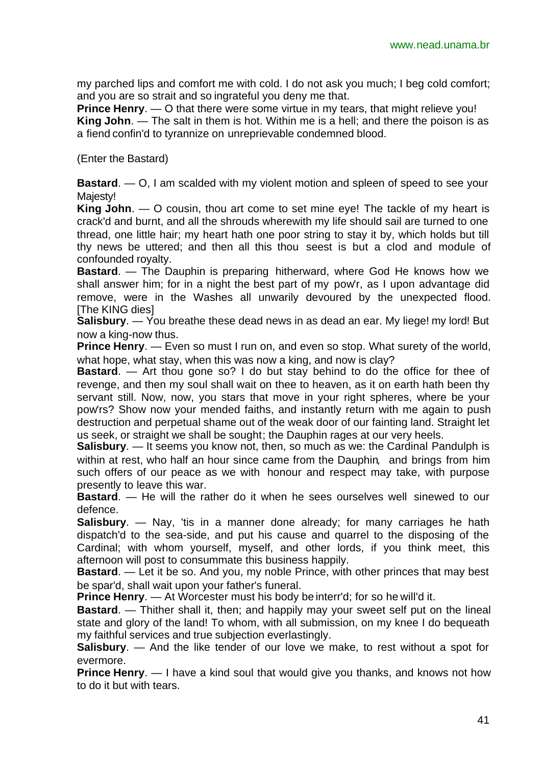my parched lips and comfort me with cold. I do not ask you much; I beg cold comfort; and you are so strait and so ingrateful you deny me that.

**Prince Henry**. — O that there were some virtue in my tears, that might relieve you! **King John**. — The salt in them is hot. Within me is a hell; and there the poison is as a fiend confin'd to tyrannize on unreprievable condemned blood.

(Enter the Bastard)

**Bastard**. — O, I am scalded with my violent motion and spleen of speed to see your Maiesty!

**King John**. — O cousin, thou art come to set mine eye! The tackle of my heart is crack'd and burnt, and all the shrouds wherewith my life should sail are turned to one thread, one little hair; my heart hath one poor string to stay it by, which holds but till thy news be uttered; and then all this thou seest is but a clod and module of confounded royalty.

**Bastard**. — The Dauphin is preparing hitherward, where God He knows how we shall answer him; for in a night the best part of my pow'r, as I upon advantage did remove, were in the Washes all unwarily devoured by the unexpected flood. [The KING dies]

**Salisbury**. — You breathe these dead news in as dead an ear. My liege! my lord! But now a king-now thus.

**Prince Henry.** — Even so must I run on, and even so stop. What surety of the world, what hope, what stay, when this was now a king, and now is clay?

**Bastard**. — Art thou gone so? I do but stay behind to do the office for thee of revenge, and then my soul shall wait on thee to heaven, as it on earth hath been thy servant still. Now, now, you stars that move in your right spheres, where be your pow'rs? Show now your mended faiths, and instantly return with me again to push destruction and perpetual shame out of the weak door of our fainting land. Straight let us seek, or straight we shall be sought; the Dauphin rages at our very heels.

**Salisbury**. — It seems you know not, then, so much as we: the Cardinal Pandulph is within at rest, who half an hour since came from the Dauphin, and brings from him such offers of our peace as we with honour and respect may take, with purpose presently to leave this war.

**Bastard**. — He will the rather do it when he sees ourselves well sinewed to our defence.

**Salisbury**. — Nay, 'tis in a manner done already; for many carriages he hath dispatch'd to the sea-side, and put his cause and quarrel to the disposing of the Cardinal; with whom yourself, myself, and other lords, if you think meet, this afternoon will post to consummate this business happily.

**Bastard**. — Let it be so. And you, my noble Prince, with other princes that may best be spar'd, shall wait upon your father's funeral.

**Prince Henry**. — At Worcester must his body be interr'd; for so he will'd it.

**Bastard.** — Thither shall it, then; and happily may your sweet self put on the lineal state and glory of the land! To whom, with all submission, on my knee I do bequeath my faithful services and true subjection everlastingly.

**Salisbury**. — And the like tender of our love we make, to rest without a spot for evermore.

**Prince Henry**. — I have a kind soul that would give you thanks, and knows not how to do it but with tears.